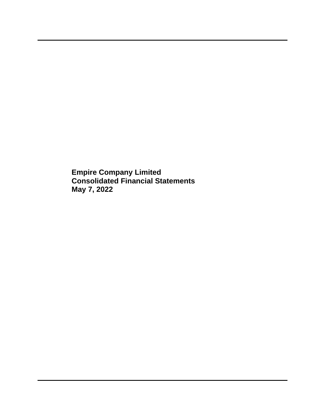**Empire Company Limited Consolidated Financial Statements May 7, 2022**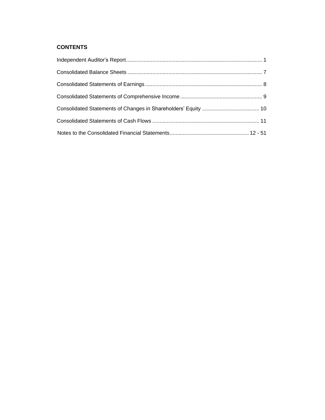# **CONTENTS**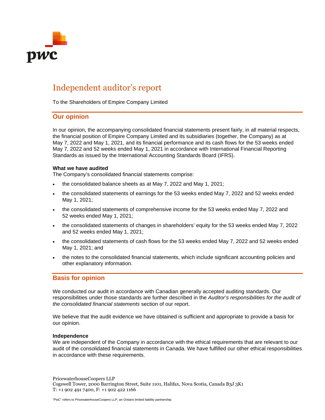

# Independent auditor's report

To the Shareholders of Empire Company Limited

# **Our opinion**

In our opinion, the accompanying consolidated financial statements present fairly, in all material respects, the financial position of Empire Company Limited and its subsidiaries (together, the Company) as at May 7, 2022 and May 1, 2021, and its financial performance and its cash flows for the 53 weeks ended May 7, 2022 and 52 weeks ended May 1, 2021 in accordance with International Financial Reporting Standards as issued by the International Accounting Standards Board (IFRS).

# **What we have audited**

The Company's consolidated financial statements comprise:

- the consolidated balance sheets as at May 7, 2022 and May 1, 2021;
- the consolidated statements of earnings for the 53 weeks ended May 7, 2022 and 52 weeks ended May 1, 2021;
- the consolidated statements of comprehensive income for the 53 weeks ended May 7, 2022 and 52 weeks ended May 1, 2021;
- the consolidated statements of changes in shareholders' equity for the 53 weeks ended May 7, 2022 and 52 weeks ended May 1, 2021;
- the consolidated statements of cash flows for the 53 weeks ended May 7, 2022 and 52 weeks ended May 1, 2021; and
- the notes to the consolidated financial statements, which include significant accounting policies and other explanatory information.

# **Basis for opinion**

We conducted our audit in accordance with Canadian generally accepted auditing standards. Our responsibilities under those standards are further described in the *Auditor's responsibilities for the audit of the consolidated financial statements* section of our report.

We believe that the audit evidence we have obtained is sufficient and appropriate to provide a basis for our opinion.

# **Independence**

We are independent of the Company in accordance with the ethical requirements that are relevant to our audit of the consolidated financial statements in Canada. We have fulfilled our other ethical responsibilities in accordance with these requirements.

PricewaterhouseCoopers LLP Cogswell Tower, 2000 Barrington Street, Suite 1101, Halifax, Nova Scotia, Canada B3J 3K1 T: +1 902 491 7400, F: +1 902 422 1166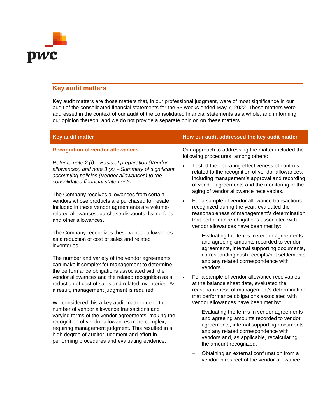

# **Key audit matters**

Key audit matters are those matters that, in our professional judgment, were of most significance in our audit of the consolidated financial statements for the 53 weeks ended May 7, 2022. These matters were addressed in the context of our audit of the consolidated financial statements as a whole, and in forming our opinion thereon, and we do not provide a separate opinion on these matters.

#### **Recognition of vendor allowances**

*Refer to note 2 (f) Basis of preparation (Vendor allowances) and note 3 (x) Summary of significant accounting policies (Vendor allowances) to the consolidated financial statements.* 

The Company receives allowances from certain vendors whose products are purchased for resale. Included in these vendor agreements are volumerelated allowances, purchase discounts, listing fees and other allowances.

The Company recognizes these vendor allowances as a reduction of cost of sales and related inventories.

The number and variety of the vendor agreements can make it complex for management to determine the performance obligations associated with the vendor allowances and the related recognition as a reduction of cost of sales and related inventories. As a result, management judgment is required.

We considered this a key audit matter due to the number of vendor allowance transactions and varying terms of the vendor agreements, making the recognition of vendor allowances more complex, requiring management judgment. This resulted in a high degree of auditor judgment and effort in performing procedures and evaluating evidence.

# **Key audit matter Move of the Key audit matter in the key audit matter in the key audit matter in the key audit matter in the key audit matter in the key audit matter in the key audit matter in the key audit matter in the**

Our approach to addressing the matter included the following procedures, among others:

- Tested the operating effectiveness of controls related to the recognition of vendor allowances, including management's approval and recording of vendor agreements and the monitoring of the aging of vendor allowance receivables.
- For a sample of vendor allowance transactions recognized during the year, evaluated the reasonableness of management's determination that performance obligations associated with vendor allowances have been met by:
	- Evaluating the terms in vendor agreements and agreeing amounts recorded to vendor agreements, internal supporting documents, corresponding cash receipts/net settlements and any related correspondence with vendors.
- For a sample of vendor allowance receivables at the balance sheet date, evaluated the reasonableness of management's determination that performance obligations associated with vendor allowances have been met by:
	- Evaluating the terms in vendor agreements and agreeing amounts recorded to vendor agreements, internal supporting documents and any related correspondence with vendors and, as applicable, recalculating the amount recognized.
	- Obtaining an external confirmation from a vendor in respect of the vendor allowance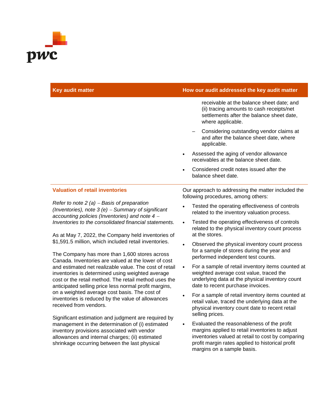

| <b>Key audit matter</b>                                                                                                                                                                                                      | How our audit addressed the key audit matter                                                                                                                                                      |  |  |  |  |  |  |
|------------------------------------------------------------------------------------------------------------------------------------------------------------------------------------------------------------------------------|---------------------------------------------------------------------------------------------------------------------------------------------------------------------------------------------------|--|--|--|--|--|--|
|                                                                                                                                                                                                                              | receivable at the balance sheet date; and<br>(ii) tracing amounts to cash receipts/net<br>settlements after the balance sheet date,<br>where applicable.                                          |  |  |  |  |  |  |
|                                                                                                                                                                                                                              | Considering outstanding vendor claims at<br>and after the balance sheet date, where<br>applicable.                                                                                                |  |  |  |  |  |  |
|                                                                                                                                                                                                                              | Assessed the aging of vendor allowance<br>receivables at the balance sheet date.                                                                                                                  |  |  |  |  |  |  |
|                                                                                                                                                                                                                              | Considered credit notes issued after the<br>$\bullet$<br>balance sheet date.                                                                                                                      |  |  |  |  |  |  |
| <b>Valuation of retail inventories</b>                                                                                                                                                                                       | Our approach to addressing the matter included the<br>following procedures, among others:                                                                                                         |  |  |  |  |  |  |
| Refer to note 2 (a) – Basis of preparation<br>(Inventories), note $3(e)$ – Summary of significant                                                                                                                            | Tested the operating effectiveness of controls<br>related to the inventory valuation process.                                                                                                     |  |  |  |  |  |  |
| accounting policies (Inventories) and note $4 -$<br>Inventories to the consolidated financial statements.                                                                                                                    | Tested the operating effectiveness of controls<br>$\bullet$<br>related to the physical inventory count process<br>at the stores.                                                                  |  |  |  |  |  |  |
| As at May 7, 2022, the Company held inventories of<br>\$1,591.5 million, which included retail inventories.                                                                                                                  | Observed the physical inventory count process<br>$\bullet$                                                                                                                                        |  |  |  |  |  |  |
| The Company has more than 1,600 stores across<br>Canada. Inventories are valued at the lower of cost                                                                                                                         | for a sample of stores during the year and<br>performed independent test counts.                                                                                                                  |  |  |  |  |  |  |
| and estimated net realizable value. The cost of retail<br>inventories is determined using weighted average<br>cost or the retail method. The retail method uses the<br>anticipated selling price less normal profit margins, | For a sample of retail inventory items counted at<br>$\bullet$<br>weighted average cost value, traced the<br>underlying data at the physical inventory count<br>date to recent purchase invoices. |  |  |  |  |  |  |
| on a weighted average cost basis. The cost of<br>inventories is reduced by the value of allowances                                                                                                                           | For a sample of retail inventory items counted at<br>retail value, traced the underlying data at the                                                                                              |  |  |  |  |  |  |

Significant estimation and judgment are required by management in the determination of (i) estimated inventory provisions associated with vendor allowances and internal charges; (ii) estimated shrinkage occurring between the last physical

received from vendors.

physical inventory count date to recent retail selling prices. Evaluated the reasonableness of the profit

margins applied to retail inventories to adjust inventories valued at retail to cost by comparing profit margin rates applied to historical profit margins on a sample basis.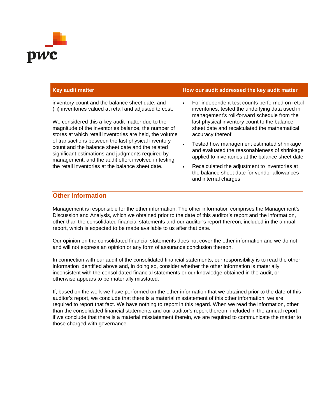

| <b>Key audit matter</b> |
|-------------------------|
|-------------------------|

inventory count and the balance sheet date; and (iii) inventories valued at retail and adjusted to cost.

We considered this a key audit matter due to the magnitude of the inventories balance, the number of stores at which retail inventories are held, the volume of transactions between the last physical inventory count and the balance sheet date and the related significant estimations and judgments required by management, and the audit effort involved in testing the retail inventories at the balance sheet date.

# **Key audit matter How our audit addressed the key audit matter**

- For independent test counts performed on retail inventories, tested the underlying data used in management's roll-forward schedule from the last physical inventory count to the balance sheet date and recalculated the mathematical accuracy thereof.
	- Tested how management estimated shrinkage and evaluated the reasonableness of shrinkage applied to inventories at the balance sheet date.
- Recalculated the adjustment to inventories at the balance sheet date for vendor allowances and internal charges.

# **Other information**

Management is responsible for the other information. The other information comprises the Management's Discussion and Analysis, which we obtained prior to the date of this auditor's report and the information, other than the consolidated financial statements and our auditor's report thereon, included in the annual report, which is expected to be made available to us after that date.

Our opinion on the consolidated financial statements does not cover the other information and we do not and will not express an opinion or any form of assurance conclusion thereon.

In connection with our audit of the consolidated financial statements, our responsibility is to read the other information identified above and, in doing so, consider whether the other information is materially inconsistent with the consolidated financial statements or our knowledge obtained in the audit, or otherwise appears to be materially misstated.

If, based on the work we have performed on the other information that we obtained prior to the date of this auditor's report, we conclude that there is a material misstatement of this other information, we are required to report that fact. We have nothing to report in this regard. When we read the information, other than the consolidated financial statements and our auditor's report thereon, included in the annual report, if we conclude that there is a material misstatement therein, we are required to communicate the matter to those charged with governance.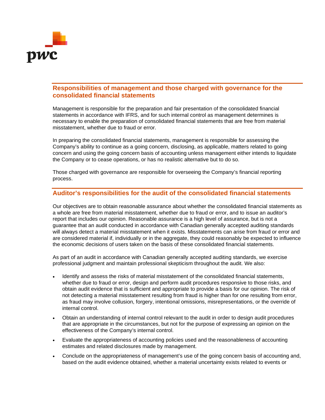

# **Responsibilities of management and those charged with governance for the consolidated financial statements**

Management is responsible for the preparation and fair presentation of the consolidated financial statements in accordance with IFRS, and for such internal control as management determines is necessary to enable the preparation of consolidated financial statements that are free from material misstatement, whether due to fraud or error.

In preparing the consolidated financial statements, management is responsible for assessing the Company's ability to continue as a going concern, disclosing, as applicable, matters related to going concern and using the going concern basis of accounting unless management either intends to liquidate the Company or to cease operations, or has no realistic alternative but to do so.

Those charged with governance are responsible for overseeing the Company's financial reporting process.

# **Auditor's responsibilities for the audit of the consolidated financial statements**

Our objectives are to obtain reasonable assurance about whether the consolidated financial statements as a whole are free from material misstatement, whether due to fraud or error, and to issue an auditor's report that includes our opinion. Reasonable assurance is a high level of assurance, but is not a guarantee that an audit conducted in accordance with Canadian generally accepted auditing standards will always detect a material misstatement when it exists. Misstatements can arise from fraud or error and are considered material if, individually or in the aggregate, they could reasonably be expected to influence the economic decisions of users taken on the basis of these consolidated financial statements.

As part of an audit in accordance with Canadian generally accepted auditing standards, we exercise professional judgment and maintain professional skepticism throughout the audit. We also:

- Identify and assess the risks of material misstatement of the consolidated financial statements, whether due to fraud or error, design and perform audit procedures responsive to those risks, and obtain audit evidence that is sufficient and appropriate to provide a basis for our opinion. The risk of not detecting a material misstatement resulting from fraud is higher than for one resulting from error, as fraud may involve collusion, forgery, intentional omissions, misrepresentations, or the override of internal control.
- Obtain an understanding of internal control relevant to the audit in order to design audit procedures that are appropriate in the circumstances, but not for the purpose of expressing an opinion on the effectiveness of the Company's internal control.
- Evaluate the appropriateness of accounting policies used and the reasonableness of accounting estimates and related disclosures made by management.
- Conclude on the appropriateness of management's use of the going concern basis of accounting and, based on the audit evidence obtained, whether a material uncertainty exists related to events or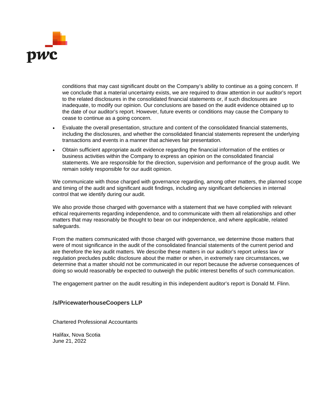

conditions that may cast significant doubt on the Company's ability to continue as a going concern. If we conclude that a material uncertainty exists, we are required to draw attention in our auditor's report to the related disclosures in the consolidated financial statements or, if such disclosures are inadequate, to modify our opinion. Our conclusions are based on the audit evidence obtained up to the date of our auditor's report. However, future events or conditions may cause the Company to cease to continue as a going concern.

- Evaluate the overall presentation, structure and content of the consolidated financial statements, including the disclosures, and whether the consolidated financial statements represent the underlying transactions and events in a manner that achieves fair presentation.
- Obtain sufficient appropriate audit evidence regarding the financial information of the entities or business activities within the Company to express an opinion on the consolidated financial statements. We are responsible for the direction, supervision and performance of the group audit. We remain solely responsible for our audit opinion.

We communicate with those charged with governance regarding, among other matters, the planned scope and timing of the audit and significant audit findings, including any significant deficiencies in internal control that we identify during our audit.

We also provide those charged with governance with a statement that we have complied with relevant ethical requirements regarding independence, and to communicate with them all relationships and other matters that may reasonably be thought to bear on our independence, and where applicable, related safeguards.

From the matters communicated with those charged with governance, we determine those matters that were of most significance in the audit of the consolidated financial statements of the current period and are therefore the key audit matters. We describe these matters in our auditor's report unless law or regulation precludes public disclosure about the matter or when, in extremely rare circumstances, we determine that a matter should not be communicated in our report because the adverse consequences of doing so would reasonably be expected to outweigh the public interest benefits of such communication.

The engagement partner on the audit resulting in this independent auditor's report is Donald M. Flinn.

# **/s/PricewaterhouseCoopers LLP**

Chartered Professional Accountants

Halifax, Nova Scotia June 21, 2022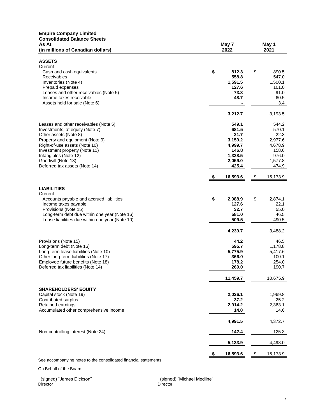# **Empire Company Limited Consolidated Balance Sheets As At** May 1 and the contract of the contract of the contract of the contract of the contract of the contract of the contract of the contract of the contract of the contract of the contract of the contract of the contract

| (in millions of Canadian dollars)                        | 2022           | 2021           |       |
|----------------------------------------------------------|----------------|----------------|-------|
|                                                          |                |                |       |
| <b>ASSETS</b>                                            |                |                |       |
| Current                                                  |                |                |       |
| Cash and cash equivalents                                | \$<br>812.3    | \$             | 890.5 |
| Receivables                                              | 558.8          |                | 547.0 |
| Inventories (Note 4)                                     | 1,591.5        | 1,500.1        |       |
| Prepaid expenses                                         | 127.6          |                | 101.0 |
| Leases and other receivables (Note 5)                    | 73.8           |                | 91.0  |
| Income taxes receivable<br>Assets held for sale (Note 6) | 48.7           |                | 60.5  |
|                                                          |                |                | 3.4   |
|                                                          | 3,212.7        | 3,193.5        |       |
| Leases and other receivables (Note 5)                    | 549.1          |                | 544.2 |
| Investments, at equity (Note 7)                          | 681.5          |                | 570.1 |
| Other assets (Note 8)                                    | 21.7           |                | 22.3  |
| Property and equipment (Note 9)                          | 3,159.2        | 2,977.6        |       |
| Right-of-use assets (Note 10)                            | 4,999.7        | 4,678.9        |       |
| Investment property (Note 11)                            | 146.8          |                | 158.6 |
| Intangibles (Note 12)                                    | 1,338.5        |                | 976.0 |
| Goodwill (Note 13)                                       | 2,059.0        | 1,577.8        |       |
| Deferred tax assets (Note 14)                            | 425.4          |                | 474.9 |
|                                                          |                |                |       |
|                                                          | 16,593.6<br>S. | \$<br>15,173.9 |       |
|                                                          |                |                |       |
| <b>LIABILITIES</b>                                       |                |                |       |
| Current                                                  |                |                |       |
| Accounts payable and accrued liabilities                 | \$<br>2,988.9  | \$<br>2,874.1  |       |
| Income taxes payable                                     | 127.6          |                | 22.1  |
| Provisions (Note 15)                                     | 32.7           |                | 55.0  |
| Long-term debt due within one year (Note 16)             | 581.0          |                | 46.5  |
| Lease liabilities due within one year (Note 10)          | 509.5          |                | 490.5 |
|                                                          | 4,239.7        | 3,488.2        |       |
|                                                          |                |                |       |
| Provisions (Note 15)                                     | 44.2           |                | 46.5  |
| Long-term debt (Note 16)                                 | 595.7          | 1,178.8        |       |
| Long-term lease liabilities (Note 10)                    | 5,775.9        | 5,417.6        |       |
| Other long-term liabilities (Note 17)                    | 366.0          |                | 100.1 |
| Employee future benefits (Note 18)                       | 178.2          |                | 254.0 |
| Deferred tax liabilities (Note 14)                       | 260.0          |                | 190.7 |
|                                                          | 11,459.7       | 10,675.9       |       |
| <b>SHAREHOLDERS' EQUITY</b>                              |                |                |       |
| Capital stock (Note 19)                                  | 2,026.1        | 1,969.8        |       |
| Contributed surplus                                      | 37.2           |                | 25.2  |
| Retained earnings                                        | 2,914.2        | 2,363.1        |       |
| Accumulated other comprehensive income                   | 14.0           |                | 14.6  |
|                                                          | 4,991.5        | 4,372.7        |       |
|                                                          |                |                |       |
| Non-controlling interest (Note 24)                       | 142.4          |                | 125.3 |
|                                                          | 5,133.9        | 4,498.0        |       |
|                                                          | 16,593.6<br>\$ | 15,173.9<br>\$ |       |
|                                                          |                |                |       |

See accompanying notes to the consolidated financial statements.

On Behalf of the Board

<u>(signed)</u> "James Dickson"<br>Director

(signed) "Michael Medline"<br>Director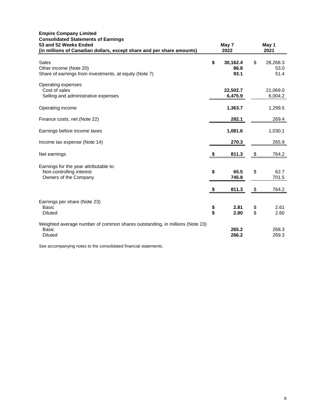| <b>Empire Company Limited</b><br><b>Consolidated Statements of Earnings</b><br>53 and 52 Weeks Ended          |          |                          |          |                          |
|---------------------------------------------------------------------------------------------------------------|----------|--------------------------|----------|--------------------------|
| (in millions of Canadian dollars, except share and per share amounts)                                         |          | May 7<br>2022            |          | May 1<br>2021            |
| <b>Sales</b><br>Other income (Note 20)<br>Share of earnings from investments, at equity (Note 7)              | \$       | 30,162.4<br>86.8<br>93.1 | \$       | 28,268.3<br>53.0<br>51.4 |
| Operating expenses<br>Cost of sales<br>Selling and administrative expenses                                    |          | 22,502.7<br>6,475.9      |          | 21,069.0<br>6,004.2      |
| Operating income                                                                                              |          | 1,363.7                  |          | 1,299.5                  |
| Finance costs, net (Note 22)                                                                                  |          | 282.1                    |          | 269.4                    |
| Earnings before income taxes                                                                                  |          | 1,081.6                  |          | 1,030.1                  |
| Income tax expense (Note 14)                                                                                  |          | 270.3                    |          | 265.9                    |
| Net earnings                                                                                                  | \$       | 811.3                    | \$       | 764.2                    |
| Earnings for the year attributable to:<br>Non-controlling interest<br>Owners of the Company                   | \$       | 65.5<br>745.8            | \$       | 62.7<br>701.5            |
|                                                                                                               | \$       | 811.3                    | \$       | 764.2                    |
| Earnings per share (Note 23)<br><b>Basic</b><br><b>Diluted</b>                                                | \$<br>\$ | 2.81<br>2.80             | \$<br>\$ | 2.61<br>2.60             |
| Weighted average number of common shares outstanding, in millions (Note 23)<br><b>Basic</b><br><b>Diluted</b> |          | 265.2<br>266.2           |          | 268.3<br>269.3           |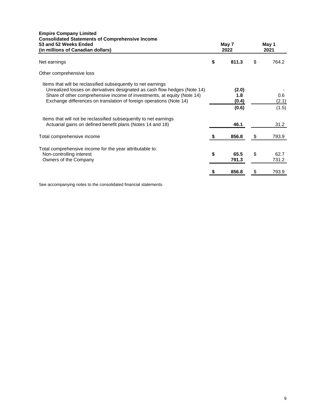| <b>Empire Company Limited</b><br><b>Consolidated Statements of Comprehensive Income</b>                                                                                                                                                                                                     |                                |                       |
|---------------------------------------------------------------------------------------------------------------------------------------------------------------------------------------------------------------------------------------------------------------------------------------------|--------------------------------|-----------------------|
| 53 and 52 Weeks Ended<br>(in millions of Canadian dollars)                                                                                                                                                                                                                                  | May 7<br>2022                  | May 1<br>2021         |
| Net earnings                                                                                                                                                                                                                                                                                | \$<br>811.3                    | \$<br>764.2           |
| Other comprehensive loss                                                                                                                                                                                                                                                                    |                                |                       |
| Items that will be reclassified subsequently to net earnings<br>Unrealized losses on derivatives designated as cash flow hedges (Note 14)<br>Share of other comprehensive income of investments, at equity (Note 14)<br>Exchange differences on translation of foreign operations (Note 14) | (2.0)<br>1.8<br>(0.4)<br>(0.6) | 0.6<br>(2.1)<br>(1.5) |
| Items that will not be reclassified subsequently to net earnings<br>Actuarial gains on defined benefit plans (Notes 14 and 18)                                                                                                                                                              | 46.1                           | 31.2                  |
| Total comprehensive income                                                                                                                                                                                                                                                                  | 856.8                          | 793.9                 |
| Total comprehensive income for the year attributable to:<br>Non-controlling interest<br>Owners of the Company                                                                                                                                                                               | \$<br>65.5<br>791.3            | \$<br>62.7<br>731.2   |
|                                                                                                                                                                                                                                                                                             | 856.8                          | \$<br>793.9           |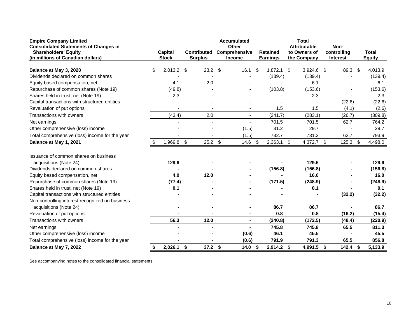| <b>Empire Company Limited</b><br><b>Consolidated Statements of Changes in</b><br><b>Shareholders' Equity</b><br>(in millions of Canadian dollars) | Capital<br><b>Stock</b> | <b>Contributed</b><br><b>Surplus</b> | <b>Accumulated</b><br>Other<br>Comprehensive<br><b>Income</b> |     | <b>Retained</b><br><b>Earnings</b> | <b>Total</b><br><b>Attributable</b><br>to Owners of<br>the Company | Non-<br>controlling<br><b>Interest</b> | <b>Total</b><br><b>Equity</b> |
|---------------------------------------------------------------------------------------------------------------------------------------------------|-------------------------|--------------------------------------|---------------------------------------------------------------|-----|------------------------------------|--------------------------------------------------------------------|----------------------------------------|-------------------------------|
| Balance at May 3, 2020                                                                                                                            | \$<br>$2,013.2$ \$      | $23.2 \quad $$                       | 16.1                                                          | \$  | $1,872.1$ \$                       | $3,924.6$ \$                                                       | 89.3                                   | \$<br>4,013.9                 |
| Dividends declared on common shares                                                                                                               |                         |                                      |                                                               |     | (139.4)                            | (139.4)                                                            |                                        | (139.4)                       |
| Equity based compensation, net                                                                                                                    | 4.1                     | 2.0                                  |                                                               |     |                                    | 6.1                                                                |                                        | 6.1                           |
| Repurchase of common shares (Note 19)                                                                                                             | (49.8)                  |                                      |                                                               |     | (103.8)                            | (153.6)                                                            |                                        | (153.6)                       |
| Shares held in trust, net (Note 19)                                                                                                               | 2.3                     |                                      |                                                               |     |                                    | 2.3                                                                |                                        | 2.3                           |
| Capital transactions with structured entities                                                                                                     |                         |                                      |                                                               |     |                                    |                                                                    | (22.6)                                 | (22.6)                        |
| Revaluation of put options                                                                                                                        |                         |                                      |                                                               |     | 1.5                                | 1.5                                                                | (4.1)                                  | (2.6)                         |
| Transactions with owners                                                                                                                          | (43.4)                  | 2.0                                  | $\blacksquare$                                                |     | (241.7)                            | (283.1)                                                            | (26.7)                                 | (309.8)                       |
| Net earnings                                                                                                                                      |                         | $\overline{a}$                       | $\overline{a}$                                                |     | 701.5                              | 701.5                                                              | 62.7                                   | 764.2                         |
| Other comprehensive (loss) income                                                                                                                 |                         | $\blacksquare$                       | (1.5)                                                         |     | 31.2                               | 29.7                                                               |                                        | 29.7                          |
| Total comprehensive (loss) income for the year                                                                                                    | $\blacksquare$          | ٠                                    | (1.5)                                                         |     | 732.7                              | 731.2                                                              | 62.7                                   | 793.9                         |
| Balance at May 1, 2021                                                                                                                            | 1,969.8                 | \$<br>$25.2$ \$                      | 14.6                                                          | \$  | 2,363.1                            | \$<br>4,372.7 \$                                                   | 125.3                                  | \$<br>4,498.0                 |
| Issuance of common shares on business                                                                                                             |                         |                                      |                                                               |     |                                    |                                                                    |                                        |                               |
| acquisitions (Note 24)                                                                                                                            | 129.6                   |                                      |                                                               |     |                                    | 129.6                                                              |                                        | 129.6                         |
| Dividends declared on common shares                                                                                                               |                         |                                      |                                                               |     | (156.8)                            | (156.8)                                                            |                                        | (156.8)                       |
| Equity based compensation, net                                                                                                                    | 4.0                     | 12.0                                 |                                                               |     |                                    | 16.0                                                               |                                        | 16.0                          |
| Repurchase of common shares (Note 19)                                                                                                             | (77.4)                  |                                      |                                                               |     | (171.5)                            | (248.9)                                                            |                                        | (248.9)                       |
| Shares held in trust, net (Note 19)                                                                                                               | 0.1                     |                                      |                                                               |     |                                    | 0.1                                                                |                                        | 0.1                           |
| Capital transactions with structured entities                                                                                                     |                         |                                      |                                                               |     |                                    |                                                                    | (32.2)                                 | (32.2)                        |
| Non-controlling interest recognized on business<br>acquisitions (Note 24)                                                                         |                         |                                      |                                                               |     | 86.7                               | 86.7                                                               |                                        | 86.7                          |
| Revaluation of put options                                                                                                                        |                         |                                      | $\blacksquare$                                                |     | 0.8                                | 0.8                                                                | (16.2)                                 | (15.4)                        |
| Transactions with owners                                                                                                                          | 56.3                    | 12.0                                 | $\blacksquare$                                                |     | (240.8)                            | (172.5)                                                            | (48.4)                                 | (220.9)                       |
| Net earnings                                                                                                                                      |                         |                                      | $\blacksquare$                                                |     | 745.8                              | 745.8                                                              | 65.5                                   | 811.3                         |
| Other comprehensive (loss) income                                                                                                                 |                         |                                      | (0.6)                                                         |     | 46.1                               | 45.5                                                               |                                        | 45.5                          |
| Total comprehensive (loss) income for the year                                                                                                    |                         | $\blacksquare$                       | (0.6)                                                         |     | 791.9                              | 791.3                                                              | 65.5                                   | 856.8                         |
| Balance at May 7, 2022                                                                                                                            | \$<br>2,026.1           | \$<br>$37.2$ \$                      | 14.0                                                          | -\$ | $2,914.2$ \$                       | 4,991.5 \$                                                         | 142.4                                  | \$<br>5,133.9                 |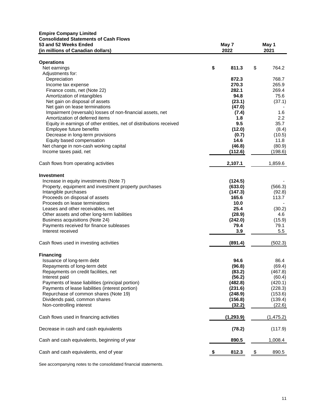# **Empire Company Limited Consolidated Statements of Cash Flows 53 and 52 Weeks Ended May 7 May 1**

| (in millions of Canadian dollars)                                   | 2022        | 2021 |            |  |
|---------------------------------------------------------------------|-------------|------|------------|--|
| <b>Operations</b>                                                   |             |      |            |  |
| Net earnings                                                        | \$<br>811.3 | \$   | 764.2      |  |
| Adjustments for:                                                    |             |      |            |  |
| Depreciation                                                        | 872.3       |      | 768.7      |  |
| Income tax expense                                                  | 270.3       |      | 265.9      |  |
| Finance costs, net (Note 22)                                        | 282.1       |      | 269.4      |  |
| Amortization of intangibles                                         | 94.8        |      | 75.6       |  |
| Net gain on disposal of assets                                      | (23.1)      |      | (37.1)     |  |
| Net gain on lease terminations                                      | (47.0)      |      |            |  |
| Impairment (reversals) losses of non-financial assets, net          | (7.4)       |      | 1.6        |  |
| Amortization of deferred items                                      | 1.8         |      | 2.2        |  |
| Equity in earnings of other entities, net of distributions received | 9.5         |      | 35.7       |  |
| Employee future benefits                                            | (12.0)      |      | (8.4)      |  |
| Decrease in long-term provisions                                    | (0.7)       |      | (10.5)     |  |
| Equity based compensation                                           | 14.6        |      | 11.8       |  |
| Net change in non-cash working capital                              | (46.8)      |      | (80.9)     |  |
| Income taxes paid, net                                              | (112.6)     |      | (198.6)    |  |
| Cash flows from operating activities                                | 2,107.1     |      | 1,859.6    |  |
| <b>Investment</b>                                                   |             |      |            |  |
| Increase in equity investments (Note 7)                             | (124.5)     |      |            |  |
| Property, equipment and investment property purchases               | (633.0)     |      | (566.3)    |  |
| Intangible purchases                                                | (147.3)     |      | (92.8)     |  |
| Proceeds on disposal of assets                                      | 165.6       |      | 113.7      |  |
| Proceeds on lease terminations                                      | 10.0        |      |            |  |
| Leases and other receivables, net                                   | 25.4        |      | (30.2)     |  |
| Other assets and other long-term liabilities                        | (28.9)      |      | 4.6        |  |
| Business acquisitions (Note 24)                                     | (242.0)     |      | (15.9)     |  |
| Payments received for finance subleases                             | 79.4        |      | 79.1       |  |
| Interest received                                                   | 3.9         |      | 5.5        |  |
| Cash flows used in investing activities                             | (891.4)     |      | (502.3)    |  |
| <b>Financing</b>                                                    |             |      |            |  |
| Issuance of long-term debt                                          | 94.6        |      | 86.4       |  |
| Repayments of long-term debt                                        | (96.8)      |      | (69.4)     |  |
| Repayments on credit facilities, net                                | (83.2)      |      | (467.8)    |  |
| Interest paid                                                       | (56.2)      |      | (60.4)     |  |
| Payments of lease liabilities (principal portion)                   | (482.8)     |      | (420.1)    |  |
| Payments of lease liabilities (interest portion)                    | (231.6)     |      | (228.3)    |  |
| Repurchase of common shares (Note 19)                               | (248.9)     |      | (153.6)    |  |
| Dividends paid, common shares                                       | (156.8)     |      | (139.4)    |  |
| Non-controlling interest                                            | (32.2)      |      | (22.6)     |  |
| Cash flows used in financing activities                             | (1, 293.9)  |      | (1, 475.2) |  |
|                                                                     |             |      |            |  |
| Decrease in cash and cash equivalents                               | (78.2)      |      | (117.9)    |  |
| Cash and cash equivalents, beginning of year                        | 890.5       |      | 1,008.4    |  |
| Cash and cash equivalents, end of year                              | 812.3       | \$   | 890.5      |  |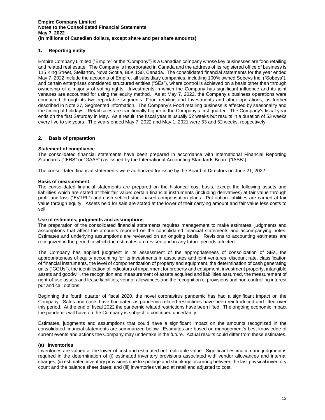#### **1. Reporting entity**

Empire Company Limited ("Empire" or the "Company") is a Canadian company whose key businesses are food retailing and related real estate. The Company is incorporated in Canada and the address of its registered office of business is 115 King Street, Stellarton, Nova Scotia, B0K 1S0, Canada. The consolidated financial statements for the year ended May 7, 2022 include the accounts of Empire, all subsidiary companies, including 100% owned Sobeys Inc. ("Sobeys"), and certain enterprises considered structured entities ("SEs"), where control is achieved on a basis other than through ownership of a majority of voting rights. Investments in which the Company has significant influence and its joint ventures are accounted for using the equity method. As at May 7, 2022, the Company's business operations were conducted through its two reportable segments: Food retailing and Investments and other operations, as further described in Note 27, Segmented information. The Company's Food retailing business is affected by seasonality and the timing of holidays. Retail sales are traditionally higher in the Company's first quarter. The Company's fiscal year ends on the first Saturday in May. As a result, the fiscal year is usually 52 weeks but results in a duration of 53 weeks every five to six years. The years ended May 7, 2022 and May 1, 2021 were 53 and 52 weeks, respectively.

#### **2. Basis of preparation**

#### **Statement of compliance**

The consolidated financial statements have been prepared in accordance with International Financial Reporting Standards ("IFRS" or "GAAP") as issued by the International Accounting Standards Board ("IASB").

The consolidated financial statements were authorized for issue by the Board of Directors on June 21, 2022.

#### **Basis of measurement**

The consolidated financial statements are prepared on the historical cost basis, except the following assets and liabilities which are stated at their fair value: certain financial instruments (including derivatives) at fair value through profit and loss ("FVTPL") and cash settled stock-based compensation plans. Put option liabilities are carried at fair value through equity. Assets held for sale are stated at the lower of their carrying amount and fair value less costs to sell.

#### **Use of estimates, judgments and assumptions**

The preparation of the consolidated financial statements requires management to make estimates, judgments and assumptions that affect the amounts reported on the consolidated financial statements and accompanying notes. Estimates and underlying assumptions are reviewed on an ongoing basis. Revisions to accounting estimates are recognized in the period in which the estimates are revised and in any future periods affected.

The Company has applied judgment in its assessment of the appropriateness of consolidation of SEs, the appropriateness of equity accounting for its investments in associates and joint ventures, discount rate, classification of financial instruments, the level of componentization of property and equipment, the determination of cash generating units ("CGUs"), the identification of indicators of impairment for property and equipment, investment property, intangible assets and goodwill, the recognition and measurement of assets acquired and liabilities assumed, the measurement of right-of-use assets and lease liabilities, vendor allowances and the recognition of provisions and non-controlling interest put and call options.

Beginning the fourth quarter of fiscal 2020, the novel coronavirus pandemic has had a significant impact on the Company. Sales and costs have fluctuated as pandemic related restrictions have been reintroduced and lifted over this period. At the end of fiscal 2022 the pandemic related restrictions have been lifted. The ongoing economic impact the pandemic will have on the Company is subject to continued uncertainty.

Estimates, judgments and assumptions that could have a significant impact on the amounts recognized in the consolidated financial statements are summarized below. Estimates are based on management's best knowledge of current events and actions the Company may undertake in the future. Actual results could differ from these estimates.

#### **(a) Inventories**

Inventories are valued at the lower of cost and estimated net realizable value. Significant estimation and judgment is required in the determination of (i) estimated inventory provisions associated with vendor allowances and internal charges; (ii) estimated inventory provisions due to spoilage and shrinkage occurring between the last physical inventory count and the balance sheet dates; and (iii) inventories valued at retail and adjusted to cost.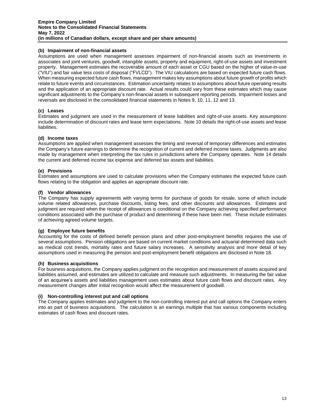#### **(b) Impairment of non-financial assets**

Assumptions are used when management assesses impairment of non-financial assets such as investments in associates and joint ventures, goodwill, intangible assets, property and equipment, right-of-use assets and investment property. Management estimates the recoverable amount of each asset or CGU based on the higher of value-in-use ("VIU") and fair value less costs of disposal ("FVLCD"). The VIU calculations are based on expected future cash flows. When measuring expected future cash flows, management makes key assumptions about future growth of profits which relate to future events and circumstances. Estimation uncertainty relates to assumptions about future operating results and the application of an appropriate discount rate. Actual results could vary from these estimates which may cause significant adjustments to the Company's non-financial assets in subsequent reporting periods. Impairment losses and reversals are disclosed in the consolidated financial statements in Notes 9, 10, 11, 12 and 13.

#### **(c) Leases**

Estimates and judgment are used in the measurement of lease liabilities and right-of-use assets. Key assumptions include determination of discount rates and lease term expectations. Note 10 details the right-of-use assets and lease liabilities.

#### **(d) Income taxes**

Assumptions are applied when management assesses the timing and reversal of temporary differences and estimates the Company's future earnings to determine the recognition of current and deferred income taxes. Judgments are also made by management when interpreting the tax rules in jurisdictions where the Company operates. Note 14 details the current and deferred income tax expense and deferred tax assets and liabilities.

#### **(e) Provisions**

Estimates and assumptions are used to calculate provisions when the Company estimates the expected future cash flows relating to the obligation and applies an appropriate discount rate.

#### **(f) Vendor allowances**

The Company has supply agreements with varying terms for purchase of goods for resale, some of which include volume related allowances, purchase discounts, listing fees, and other discounts and allowances. Estimates and judgment are required when the receipt of allowances is conditional on the Company achieving specified performance conditions associated with the purchase of product and determining if these have been met. These include estimates of achieving agreed volume targets.

#### **(g) Employee future benefits**

Accounting for the costs of defined benefit pension plans and other post-employment benefits requires the use of several assumptions. Pension obligations are based on current market conditions and actuarial determined data such as medical cost trends, mortality rates and future salary increases. A sensitivity analysis and more detail of key assumptions used in measuring the pension and post-employment benefit obligations are disclosed in Note 18.

#### **(h) Business acquisitions**

For business acquisitions, the Company applies judgment on the recognition and measurement of assets acquired and liabilities assumed, and estimates are utilized to calculate and measure such adjustments. In measuring the fair value of an acquiree's assets and liabilities management uses estimates about future cash flows and discount rates. Any measurement changes after initial recognition would affect the measurement of goodwill.

### **(i) Non-controlling interest put and call options**

The Company applies estimates and judgment to the non-controlling interest put and call options the Company enters into as part of business acquisitions. The calculation is an earnings multiple that has various components including estimates of cash flows and discount rates.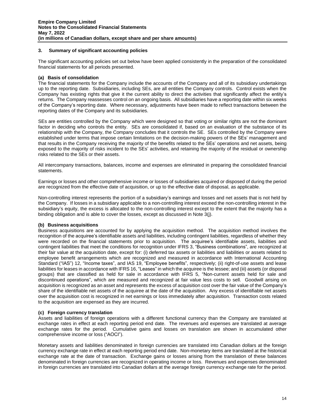#### **3. Summary of significant accounting policies**

The significant accounting policies set out below have been applied consistently in the preparation of the consolidated financial statements for all periods presented.

#### **(a) Basis of consolidation**

The financial statements for the Company include the accounts of the Company and all of its subsidiary undertakings up to the reporting date. Subsidiaries, including SEs, are all entities the Company controls. Control exists when the Company has existing rights that give it the current ability to direct the activities that significantly affect the entity's returns. The Company reassesses control on an ongoing basis. All subsidiaries have a reporting date within six weeks of the Company's reporting date. Where necessary, adjustments have been made to reflect transactions between the reporting dates of the Company and its subsidiaries.

SEs are entities controlled by the Company which were designed so that voting or similar rights are not the dominant factor in deciding who controls the entity. SEs are consolidated if, based on an evaluation of the substance of its relationship with the Company, the Company concludes that it controls the SE. SEs controlled by the Company were established under terms that impose certain limitations on the decision-making powers of the SEs' management and that results in the Company receiving the majority of the benefits related to the SEs' operations and net assets, being exposed to the majority of risks incident to the SEs' activities, and retaining the majority of the residual or ownership risks related to the SEs or their assets.

All intercompany transactions, balances, income and expenses are eliminated in preparing the consolidated financial statements.

Earnings or losses and other comprehensive income or losses of subsidiaries acquired or disposed of during the period are recognized from the effective date of acquisition, or up to the effective date of disposal, as applicable.

Non-controlling interest represents the portion of a subsidiary's earnings and losses and net assets that is not held by the Company. If losses in a subsidiary applicable to a non-controlling interest exceed the non-controlling interest in the subsidiary's equity, the excess is allocated to the non-controlling interest except to the extent that the majority has a binding obligation and is able to cover the losses, except as discussed in Note 3(j).

#### **(b) Business acquisitions**

Business acquisitions are accounted for by applying the acquisition method. The acquisition method involves the recognition of the acquiree's identifiable assets and liabilities, including contingent liabilities, regardless of whether they were recorded on the financial statements prior to acquisition. The acquiree's identifiable assets, liabilities and contingent liabilities that meet the conditions for recognition under IFRS 3, "Business combinations", are recognized at their fair value at the acquisition date, except for: (i) deferred tax assets or liabilities and liabilities or assets related to employee benefit arrangements which are recognized and measured in accordance with International Accounting Standard ("IAS") 12, "Income taxes", and IAS 19, "Employee benefits", respectively; (ii) right-of-use assets and lease liabilities for leases in accordance with IFRS 16, "Leases" in which the acquiree is the lessee; and (iii) assets (or disposal groups) that are classified as held for sale in accordance with IFRS 5, "Non-current assets held for sale and discontinued operations", which are measured and recognized at fair value less costs to sell. Goodwill arising on acquisition is recognized as an asset and represents the excess of acquisition cost over the fair value of the Company's share of the identifiable net assets of the acquiree at the date of the acquisition. Any excess of identifiable net assets over the acquisition cost is recognized in net earnings or loss immediately after acquisition. Transaction costs related to the acquisition are expensed as they are incurred.

#### **(c) Foreign currency translation**

Assets and liabilities of foreign operations with a different functional currency than the Company are translated at exchange rates in effect at each reporting period end date. The revenues and expenses are translated at average exchange rates for the period. Cumulative gains and losses on translation are shown in accumulated other comprehensive income or loss ("AOCI").

Monetary assets and liabilities denominated in foreign currencies are translated into Canadian dollars at the foreign currency exchange rate in effect at each reporting period end date. Non-monetary items are translated at the historical exchange rate at the date of transaction. Exchange gains or losses arising from the translation of these balances denominated in foreign currencies are recognized in operating income or loss. Revenues and expenses denominated in foreign currencies are translated into Canadian dollars at the average foreign currency exchange rate for the period.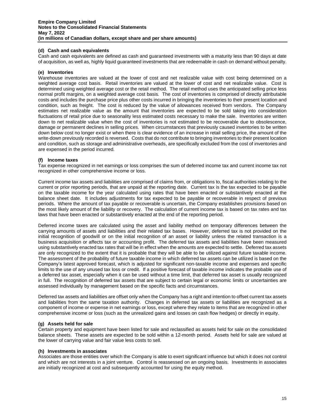#### **(d) Cash and cash equivalents**

Cash and cash equivalents are defined as cash and guaranteed investments with a maturity less than 90 days at date of acquisition, as well as, highly liquid guaranteed investments that are redeemable in cash on demand without penalty.

#### **(e) Inventories**

Warehouse inventories are valued at the lower of cost and net realizable value with cost being determined on a weighted average cost basis. Retail inventories are valued at the lower of cost and net realizable value. Cost is determined using weighted average cost or the retail method. The retail method uses the anticipated selling price less normal profit margins, on a weighted average cost basis. The cost of inventories is comprised of directly attributable costs and includes the purchase price plus other costs incurred in bringing the inventories to their present location and condition, such as freight. The cost is reduced by the value of allowances received from vendors. The Company estimates net realizable value as the amount that inventories are expected to be sold taking into consideration fluctuations of retail price due to seasonality less estimated costs necessary to make the sale. Inventories are written down to net realizable value when the cost of inventories is not estimated to be recoverable due to obsolescence, damage or permanent declines in selling prices. When circumstances that previously caused inventories to be written down below cost no longer exist or when there is clear evidence of an increase in retail selling price, the amount of the write-down previously recorded is reversed. Costs that do not contribute to bringing inventories to their present location and condition, such as storage and administrative overheads, are specifically excluded from the cost of inventories and are expensed in the period incurred.

#### **(f) Income taxes**

Tax expense recognized in net earnings or loss comprises the sum of deferred income tax and current income tax not recognized in other comprehensive income or loss.

Current income tax assets and liabilities are comprised of claims from, or obligations to, fiscal authorities relating to the current or prior reporting periods, that are unpaid at the reporting date. Current tax is the tax expected to be payable on the taxable income for the year calculated using rates that have been enacted or substantively enacted at the balance sheet date. It includes adjustments for tax expected to be payable or recoverable in respect of previous periods. Where the amount of tax payable or recoverable is uncertain, the Company establishes provisions based on the most likely amount of the liability or recovery. The calculation of current income tax is based on tax rates and tax laws that have been enacted or substantively enacted at the end of the reporting period.

Deferred income taxes are calculated using the asset and liability method on temporary differences between the carrying amounts of assets and liabilities and their related tax bases. However, deferred tax is not provided on the initial recognition of goodwill or on the initial recognition of an asset or liability unless the related transaction is a business acquisition or affects tax or accounting profit. The deferred tax assets and liabilities have been measured using substantively enacted tax rates that will be in effect when the amounts are expected to settle. Deferred tax assets are only recognized to the extent that it is probable that they will be able to be utilized against future taxable income. The assessment of the probability of future taxable income in which deferred tax assets can be utilized is based on the Company's latest approved forecast, which is adjusted for significant non-taxable income and expenses and specific limits to the use of any unused tax loss or credit. If a positive forecast of taxable income indicates the probable use of a deferred tax asset, especially when it can be used without a time limit, that deferred tax asset is usually recognized in full. The recognition of deferred tax assets that are subject to certain legal or economic limits or uncertainties are assessed individually by management based on the specific facts and circumstances.

Deferred tax assets and liabilities are offset only when the Company has a right and intention to offset current tax assets and liabilities from the same taxation authority. Changes in deferred tax assets or liabilities are recognized as a component of income or expense in net earnings or loss, except where they relate to items that are recognized in other comprehensive income or loss (such as the unrealized gains and losses on cash flow hedges) or directly in equity.

#### **(g) Assets held for sale**

Certain property and equipment have been listed for sale and reclassified as assets held for sale on the consolidated balance sheets. These assets are expected to be sold within a 12-month period. Assets held for sale are valued at the lower of carrying value and fair value less costs to sell.

#### **(h) Investments in associates**

Associates are those entities over which the Company is able to exert significant influence but which it does not control and which are not interests in a joint venture. Control is reassessed on an ongoing basis. Investments in associates are initially recognized at cost and subsequently accounted for using the equity method.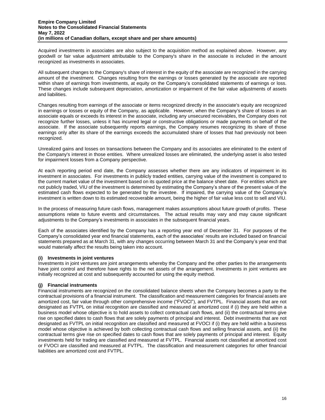#### **Empire Company Limited Notes to the Consolidated Financial Statements May 7, 2022 (in millions of Canadian dollars, except share and per share amounts)**

Acquired investments in associates are also subject to the acquisition method as explained above. However, any goodwill or fair value adjustment attributable to the Company's share in the associate is included in the amount recognized as investments in associates.

All subsequent changes to the Company's share of interest in the equity of the associate are recognized in the carrying amount of the investment. Changes resulting from the earnings or losses generated by the associate are reported within share of earnings from investments, at equity on the Company's consolidated statements of earnings or loss. These changes include subsequent depreciation, amortization or impairment of the fair value adjustments of assets and liabilities.

Changes resulting from earnings of the associate or items recognized directly in the associate's equity are recognized in earnings or losses or equity of the Company, as applicable. However, when the Company's share of losses in an associate equals or exceeds its interest in the associate, including any unsecured receivables, the Company does not recognize further losses, unless it has incurred legal or constructive obligations or made payments on behalf of the associate. If the associate subsequently reports earnings, the Company resumes recognizing its share of those earnings only after its share of the earnings exceeds the accumulated share of losses that had previously not been recognized.

Unrealized gains and losses on transactions between the Company and its associates are eliminated to the extent of the Company's interest in those entities. Where unrealized losses are eliminated, the underlying asset is also tested for impairment losses from a Company perspective.

At each reporting period end date, the Company assesses whether there are any indicators of impairment in its investment in associates. For investments in publicly traded entities, carrying value of the investment is compared to the current market value of the investment based on its quoted price at the balance sheet date. For entities which are not publicly traded, VIU of the investment is determined by estimating the Company's share of the present value of the estimated cash flows expected to be generated by the investee. If impaired, the carrying value of the Company's investment is written down to its estimated recoverable amount, being the higher of fair value less cost to sell and VIU.

In the process of measuring future cash flows, management makes assumptions about future growth of profits. These assumptions relate to future events and circumstances. The actual results may vary and may cause significant adjustments to the Company's investments in associates in the subsequent financial years.

Each of the associates identified by the Company has a reporting year end of December 31. For purposes of the Company's consolidated year end financial statements, each of the associates' results are included based on financial statements prepared as at March 31, with any changes occurring between March 31 and the Company's year end that would materially affect the results being taken into account.

# **(i) Investments in joint ventures**

Investments in joint ventures are joint arrangements whereby the Company and the other parties to the arrangements have joint control and therefore have rights to the net assets of the arrangement. Investments in joint ventures are initially recognized at cost and subsequently accounted for using the equity method.

# **(j) Financial instruments**

Financial instruments are recognized on the consolidated balance sheets when the Company becomes a party to the contractual provisions of a financial instrument. The classification and measurement categories for financial assets are amortized cost, fair value through other comprehensive income ("FVOCI"), and FVTPL. Financial assets that are not designated as FVTPL on initial recognition are classified and measured at amortized cost if (i) they are held within a business model whose objective is to hold assets to collect contractual cash flows, and (ii) the contractual terms give rise on specified dates to cash flows that are solely payments of principal and interest. Debt investments that are not designated as FVTPL on initial recognition are classified and measured at FVOCI if (i) they are held within a business model whose objective is achieved by both collecting contractual cash flows and selling financial assets, and (ii) the contractual terms give rise on specified dates to cash flows that are solely payments of principal and interest. Equity investments held for trading are classified and measured at FVTPL. Financial assets not classified at amortized cost or FVOCI are classified and measured at FVTPL. The classification and measurement categories for other financial liabilities are amortized cost and FVTPL.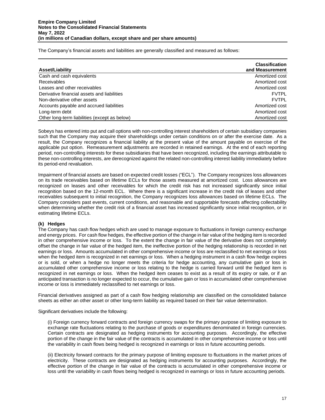The Company's financial assets and liabilities are generally classified and measured as follows:

| <b>Asset/Liability</b>                        | <b>Classification</b><br>and Measurement |
|-----------------------------------------------|------------------------------------------|
| Cash and cash equivalents                     | Amortized cost                           |
| <b>Receivables</b>                            | Amortized cost                           |
| Leases and other receivables                  | Amortized cost                           |
| Derivative financial assets and liabilities   | <b>FVTPL</b>                             |
| Non-derivative other assets                   | <b>FVTPL</b>                             |
| Accounts payable and accrued liabilities      | Amortized cost                           |
| Long-term debt                                | Amortized cost                           |
| Other long-term liabilities (except as below) | Amortized cost                           |

Sobeys has entered into put and call options with non-controlling interest shareholders of certain subsidiary companies such that the Company may acquire their shareholdings under certain conditions on or after the exercise date. As a result, the Company recognizes a financial liability at the present value of the amount payable on exercise of the applicable put option. Remeasurement adjustments are recorded in retained earnings. At the end of each reporting period, non-controlling interests for these subsidiaries that have been recognized, including the earnings attributable to these non-controlling interests, are derecognized against the related non-controlling interest liability immediately before its period-end revaluation.

Impairment of financial assets are based on expected credit losses ("ECL"). The Company recognizes loss allowances on its trade receivables based on lifetime ECLs for those assets measured at amortized cost. Loss allowances are recognized on leases and other receivables for which the credit risk has not increased significantly since initial recognition based on the 12-month ECL. Where there is a significant increase in the credit risk of leases and other receivables subsequent to initial recognition, the Company recognizes loss allowances based on lifetime ECLs. The Company considers past events, current conditions, and reasonable and supportable forecasts affecting collectability when determining whether the credit risk of a financial asset has increased significantly since initial recognition, or in estimating lifetime ECLs.

#### **(k) Hedges**

The Company has cash flow hedges which are used to manage exposure to fluctuations in foreign currency exchange and energy prices. For cash flow hedges, the effective portion of the change in fair value of the hedging item is recorded in other comprehensive income or loss. To the extent the change in fair value of the derivative does not completely offset the change in fair value of the hedged item, the ineffective portion of the hedging relationship is recorded in net earnings or loss. Amounts accumulated in other comprehensive income or loss are reclassified to net earnings or loss when the hedged item is recognized in net earnings or loss. When a hedging instrument in a cash flow hedge expires or is sold, or when a hedge no longer meets the criteria for hedge accounting, any cumulative gain or loss in accumulated other comprehensive income or loss relating to the hedge is carried forward until the hedged item is recognized in net earnings or loss. When the hedged item ceases to exist as a result of its expiry or sale, or if an anticipated transaction is no longer expected to occur, the cumulative gain or loss in accumulated other comprehensive income or loss is immediately reclassified to net earnings or loss.

Financial derivatives assigned as part of a cash flow hedging relationship are classified on the consolidated balance sheets as either an other asset or other long-term liability as required based on their fair value determination.

Significant derivatives include the following:

(i) Foreign currency forward contracts and foreign currency swaps for the primary purpose of limiting exposure to exchange rate fluctuations relating to the purchase of goods or expenditures denominated in foreign currencies. Certain contracts are designated as hedging instruments for accounting purposes. Accordingly, the effective portion of the change in the fair value of the contracts is accumulated in other comprehensive income or loss until the variability in cash flows being hedged is recognized in earnings or loss in future accounting periods.

(ii) Electricity forward contracts for the primary purpose of limiting exposure to fluctuations in the market prices of electricity. These contracts are designated as hedging instruments for accounting purposes. Accordingly, the effective portion of the change in fair value of the contracts is accumulated in other comprehensive income or loss until the variability in cash flows being hedged is recognized in earnings or loss in future accounting periods.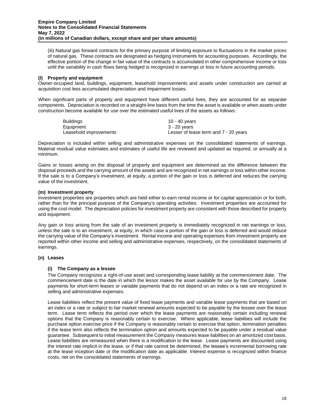(iii) Natural gas forward contracts for the primary purpose of limiting exposure to fluctuations in the market prices of natural gas. These contracts are designated as hedging instruments for accounting purposes. Accordingly, the effective portion of the change in fair value of the contracts is accumulated in other comprehensive income or loss until the variability in cash flows being hedged is recognized in earnings or loss in future accounting periods.

#### **(l) Property and equipment**

Owner-occupied land, buildings, equipment, leasehold improvements and assets under construction are carried at acquisition cost less accumulated depreciation and impairment losses.

When significant parts of property and equipment have different useful lives, they are accounted for as separate components. Depreciation is recorded on a straight-line basis from the time the asset is available or when assets under construction become available for use over the estimated useful lives of the assets as follows:

| Buildings              | 10 - 40 years                         |
|------------------------|---------------------------------------|
| Equipment              | 3 - 20 years                          |
| Leasehold improvements | Lesser of lease term and 7 - 20 years |

Depreciation is included within selling and administrative expenses on the consolidated statements of earnings. Material residual value estimates and estimates of useful life are reviewed and updated as required, or annually at a minimum.

Gains or losses arising on the disposal of property and equipment are determined as the difference between the disposal proceeds and the carrying amount of the assets and are recognized in net earnings or loss within other income. If the sale is to a Company's investment, at equity, a portion of the gain or loss is deferred and reduces the carrying value of the investment.

#### **(m) Investment property**

Investment properties are properties which are held either to earn rental income or for capital appreciation or for both, rather than for the principal purpose of the Company's operating activities. Investment properties are accounted for using the cost model. The depreciation policies for investment property are consistent with those described for property and equipment.

Any gain or loss arising from the sale of an investment property is immediately recognized in net earnings or loss, unless the sale is to an investment, at equity, in which case a portion of the gain or loss is deferred and would reduce the carrying value of the Company's investment. Rental income and operating expenses from investment property are reported within other income and selling and administrative expenses, respectively, on the consolidated statements of earnings.

#### **(n) Leases**

#### **(i) The Company as a lessee**

The Company recognizes a right-of-use asset and corresponding lease liability at the commencement date. The commencement date is the date in which the lessor makes the asset available for use by the Company. Lease payments for short-term leases or variable payments that do not depend on an index or a rate are recognized in selling and administrative expenses.

Lease liabilities reflect the present value of fixed lease payments and variable lease payments that are based on an index or a rate or subject to fair market renewal amounts expected to be payable by the lessee over the lease term. Lease term reflects the period over which the lease payments are reasonably certain including renewal options that the Company is reasonably certain to exercise. Where applicable, lease liabilities will include the purchase option exercise price if the Company is reasonably certain to exercise that option, termination penalties if the lease term also reflects the termination option and amounts expected to be payable under a residual value guarantee. Subsequent to initial measurement the Company measures lease liabilities on an amortized cost basis. Lease liabilities are remeasured when there is a modification to the lease. Lease payments are discounted using the interest rate implicit in the lease, or if that rate cannot be determined, the lessee's incremental borrowing rate at the lease inception date or the modification date as applicable. Interest expense is recognized within finance costs, net on the consolidated statements of earnings.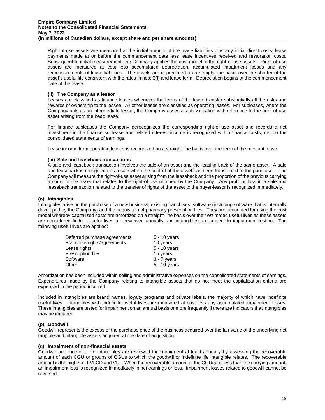Right-of-use assets are measured at the initial amount of the lease liabilities plus any initial direct costs, lease payments made at or before the commencement date less lease incentives received and restoration costs. Subsequent to initial measurement, the Company applies the cost model to the right-of-use assets. Right-of-use assets are measured at cost less accumulated depreciation, accumulated impairment losses and any remeasurements of lease liabilities. The assets are depreciated on a straight-line basis over the shorter of the asset's useful life consistent with the rates in note 3(l) and lease term. Depreciation begins at the commencement date of the lease.

#### **(ii) The Company as a lessor**

Leases are classified as finance leases whenever the terms of the lease transfer substantially all the risks and rewards of ownership to the lessee. All other leases are classified as operating leases. For subleases, where the Company acts as an intermediate lessor, the Company assesses classification with reference to the right-of-use asset arising from the head lease.

For finance subleases the Company derecognizes the corresponding right-of-use asset and records a net investment in the finance sublease and related interest income is recognized within finance costs, net on the consolidated statements of earnings.

Lease income from operating leases is recognized on a straight-line basis over the term of the relevant lease.

#### **(iii) Sale and leaseback transactions**

A sale and leaseback transaction involves the sale of an asset and the leasing back of the same asset. A sale and leaseback is recognized as a sale when the control of the asset has been transferred to the purchaser. The Company will measure the right-of-use asset arising from the leaseback and the proportion of the previous carrying amount of the asset that relates to the right-of-use retained by the Company. Any profit or loss in a sale and leaseback transaction related to the transfer of rights of the asset to the buyer-lessor is recognized immediately.

#### **(o) Intangibles**

Intangibles arise on the purchase of a new business, existing franchises, software (including software that is internally developed by the Company) and the acquisition of pharmacy prescription files. They are accounted for using the cost model whereby capitalized costs are amortized on a straight-line basis over their estimated useful lives as these assets are considered finite. Useful lives are reviewed annually and intangibles are subject to impairment testing. The following useful lives are applied:

| Deferred purchase agreements | $5 - 10$ years |
|------------------------------|----------------|
| Franchise rights/agreements  | 10 years       |
| Lease rights                 | 5 - 10 years   |
| Prescription files           | 15 years       |
| Software                     | $3 - 7$ years  |
| Other                        | $5 - 10$ years |

Amortization has been included within selling and administrative expenses on the consolidated statements of earnings. Expenditures made by the Company relating to intangible assets that do not meet the capitalization criteria are expensed in the period incurred.

Included in intangibles are brand names, loyalty programs and private labels, the majority of which have indefinite useful lives. Intangibles with indefinite useful lives are measured at cost less any accumulated impairment losses. These intangibles are tested for impairment on an annual basis or more frequently if there are indicators that intangibles may be impaired.

#### **(p) Goodwill**

Goodwill represents the excess of the purchase price of the business acquired over the fair value of the underlying net tangible and intangible assets acquired at the date of acquisition.

# **(q) Impairment of non-financial assets**

Goodwill and indefinite life intangibles are reviewed for impairment at least annually by assessing the recoverable amount of each CGU or groups of CGUs to which the goodwill or indefinite life intangible relates. The recoverable amount is the higher of FVLCD and VIU. When the recoverable amount of the CGU(s) is less than the carrying amount, an impairment loss is recognized immediately in net earnings or loss. Impairment losses related to goodwill cannot be reversed.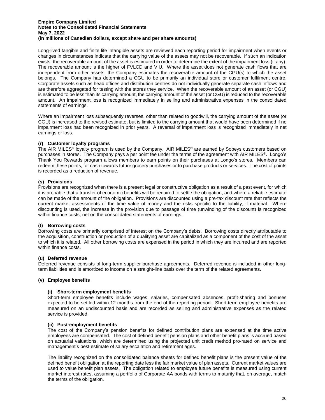#### **Empire Company Limited Notes to the Consolidated Financial Statements May 7, 2022 (in millions of Canadian dollars, except share and per share amounts)**

Long-lived tangible and finite life intangible assets are reviewed each reporting period for impairment when events or changes in circumstances indicate that the carrying value of the assets may not be recoverable. If such an indication exists, the recoverable amount of the asset is estimated in order to determine the extent of the impairment loss (if any). The recoverable amount is the higher of FVLCD and VIU. Where the asset does not generate cash flows that are independent from other assets, the Company estimates the recoverable amount of the CGU(s) to which the asset belongs. The Company has determined a CGU to be primarily an individual store or customer fulfilment centre. Corporate assets such as head offices and distribution centres do not individually generate separate cash inflows and are therefore aggregated for testing with the stores they service. When the recoverable amount of an asset (or CGU) is estimated to be less than its carrying amount, the carrying amount of the asset (or CGU) is reduced to the recoverable amount. An impairment loss is recognized immediately in selling and administrative expenses in the consolidated statements of earnings.

Where an impairment loss subsequently reverses, other than related to goodwill, the carrying amount of the asset (or CGU) is increased to the revised estimate, but is limited to the carrying amount that would have been determined if no impairment loss had been recognized in prior years. A reversal of impairment loss is recognized immediately in net earnings or loss.

#### **(r) Customer loyalty programs**

The AIR MILES® loyalty program is used by the Company. AIR MILES® are earned by Sobeys customers based on purchases in stores. The Company pays a per point fee under the terms of the agreement with AIR MILES®. Longo's Thank You Rewards program allows members to earn points on their purchases at Longo's stores. Members can redeem these points, for cash towards future grocery purchases or to purchase products or services. The cost of points is recorded as a reduction of revenue.

#### **(s) Provisions**

Provisions are recognized when there is a present legal or constructive obligation as a result of a past event, for which it is probable that a transfer of economic benefits will be required to settle the obligation, and where a reliable estimate can be made of the amount of the obligation. Provisions are discounted using a pre-tax discount rate that reflects the current market assessments of the time value of money and the risks specific to the liability, if material. Where discounting is used, the increase in the provision due to passage of time (unwinding of the discount) is recognized within finance costs, net on the consolidated statements of earnings.

#### **(t) Borrowing costs**

Borrowing costs are primarily comprised of interest on the Company's debts. Borrowing costs directly attributable to the acquisition, construction or production of a qualifying asset are capitalized as a component of the cost of the asset to which it is related. All other borrowing costs are expensed in the period in which they are incurred and are reported within finance costs.

# **(u) Deferred revenue**

Deferred revenue consists of long-term supplier purchase agreements. Deferred revenue is included in other longterm liabilities and is amortized to income on a straight-line basis over the term of the related agreements.

#### **(v) Employee benefits**

# **(i) Short-term employment benefits**

Short-term employee benefits include wages, salaries, compensated absences, profit-sharing and bonuses expected to be settled within 12 months from the end of the reporting period. Short-term employee benefits are measured on an undiscounted basis and are recorded as selling and administrative expenses as the related service is provided.

#### **(ii) Post-employment benefits**

The cost of the Company's pension benefits for defined contribution plans are expensed at the time active employees are compensated. The cost of defined benefit pension plans and other benefit plans is accrued based on actuarial valuations, which are determined using the projected unit credit method pro-rated on service and management's best estimate of salary escalation and retirement ages.

The liability recognized on the consolidated balance sheets for defined benefit plans is the present value of the defined benefit obligation at the reporting date less the fair market value of plan assets. Current market values are used to value benefit plan assets. The obligation related to employee future benefits is measured using current market interest rates, assuming a portfolio of Corporate AA bonds with terms to maturity that, on average, match the terms of the obligation.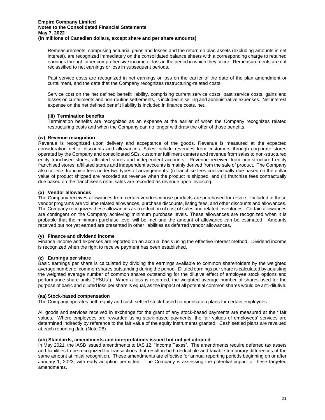Remeasurements, comprising actuarial gains and losses and the return on plan assets (excluding amounts in net interest), are recognized immediately on the consolidated balance sheets with a corresponding charge to retained earnings through other comprehensive income or loss in the period in which they occur. Remeasurements are not reclassified to net earnings or loss in subsequent periods.

Past service costs are recognized in net earnings or loss on the earlier of the date of the plan amendment or curtailment, and the date that the Company recognizes restructuring-related costs.

Service cost on the net defined benefit liability, comprising current service costs, past service costs, gains and losses on curtailments and non-routine settlements, is included in selling and administrative expenses. Net interest expense on the net defined benefit liability is included in finance costs, net.

#### **(iii) Termination benefits**

Termination benefits are recognized as an expense at the earlier of when the Company recognizes related restructuring costs and when the Company can no longer withdraw the offer of those benefits.

#### **(w) Revenue recognition**

Revenue is recognized upon delivery and acceptance of the goods. Revenue is measured at the expected consideration net of discounts and allowances. Sales include revenues from customers through corporate stores operated by the Company and consolidated SEs, customer fulfilment centers and revenue from sales to non-structured entity franchised stores, affiliated stores and independent accounts. Revenue received from non-structured entity franchised stores, affiliated stores and independent accounts is mainly derived from the sale of product. The Company also collects franchise fees under two types of arrangements: (i) franchise fees contractually due based on the dollar value of product shipped are recorded as revenue when the product is shipped; and (ii) franchise fees contractually due based on the franchisee's retail sales are recorded as revenue upon invoicing.

#### **(x) Vendor allowances**

The Company receives allowances from certain vendors whose products are purchased for resale. Included in these vendor programs are volume related allowances, purchase discounts, listing fees, and other discounts and allowances. The Company recognizes these allowances as a reduction of cost of sales and related inventories. Certain allowances are contingent on the Company achieving minimum purchase levels. These allowances are recognized when it is probable that the minimum purchase level will be met and the amount of allowance can be estimated. Amounts received but not yet earned are presented in other liabilities as deferred vendor allowances.

#### **(y) Finance and dividend income**

Finance income and expenses are reported on an accrual basis using the effective interest method. Dividend income is recognized when the right to receive payment has been established.

#### **(z) Earnings per share**

Basic earnings per share is calculated by dividing the earnings available to common shareholders by the weighted average number of common shares outstanding during the period. Diluted earnings per share is calculated by adjusting the weighted average number of common shares outstanding for the dilutive effect of employee stock options and performance share units ("PSUs"). When a loss is recorded, the weighted average number of shares used for the purpose of basic and diluted loss per share is equal, as the impact of all potential common shares would be anti-dilutive.

#### **(aa) Stock-based compensation**

The Company operates both equity and cash settled stock-based compensation plans for certain employees.

All goods and services received in exchange for the grant of any stock-based payments are measured at their fair values. Where employees are rewarded using stock-based payments, the fair values of employees' services are determined indirectly by reference to the fair value of the equity instruments granted. Cash settled plans are revalued at each reporting date (Note 28).

#### **(ab) Standards, amendments and interpretations issued but not yet adopted**

In May 2021, the IASB issued amendments to IAS 12, "Income Taxes". The amendments require deferred tax assets and liabilities to be recognized for transactions that result in both deductible and taxable temporary differences of the same amount at initial recognition. These amendments are effective for annual reporting periods beginning on or after January 1, 2023, with early adoption permitted. The Company is assessing the potential impact of these targeted amendments.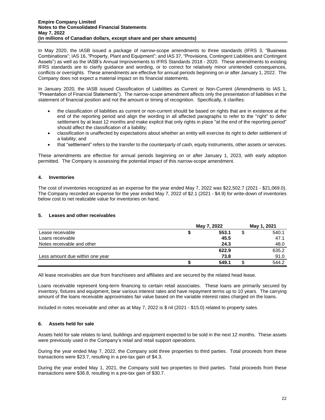#### **Empire Company Limited Notes to the Consolidated Financial Statements May 7, 2022 (in millions of Canadian dollars, except share and per share amounts)**

In May 2020, the IASB issued a package of narrow-scope amendments to three standards (IFRS 3, "Business Combinations"; IAS 16, "Property, Plant and Equipment"; and IAS 37, "Provisions, Contingent Liabilities and Contingent Assets") as well as the IASB's Annual Improvements to IFRS Standards 2018 - 2020. These amendments to existing IFRS standards are to clarify guidance and wording, or to correct for relatively minor unintended consequences, conflicts or oversights. These amendments are effective for annual periods beginning on or after January 1, 2022. The Company does not expect a material impact on its financial statements.

In January 2020, the IASB issued Classification of Liabilities as Current or Non-Current (Amendments to IAS 1, "Presentation of Financial Statements"). The narrow-scope amendment affects only the presentation of liabilities in the statement of financial position and not the amount or timing of recognition. Specifically, it clarifies:

- the classification of liabilities as current or non-current should be based on rights that are in existence at the end of the reporting period and align the wording in all affected paragraphs to refer to the "right" to defer settlement by at least 12 months and make explicit that only rights in place "at the end of the reporting period" should affect the classification of a liability;
- classification is unaffected by expectations about whether an entity will exercise its right to defer settlement of a liability; and
- that "settlement" refers to the transfer to the counterparty of cash, equity instruments, other assets or services.

These amendments are effective for annual periods beginning on or after January 1, 2023, with early adoption permitted. The Company is assessing the potential impact of this narrow-scope amendment.

#### **4. Inventories**

The cost of inventories recognized as an expense for the year ended May 7, 2022 was \$22,502.7 (2021 - \$21,069.0). The Company recorded an expense for the year ended May 7, 2022 of \$2.1 (2021 - \$4.9) for write-down of inventories below cost to net realizable value for inventories on hand.

#### **5. Leases and other receivables**

|                                 | May 7, 2022 | May 1, 2021 |       |
|---------------------------------|-------------|-------------|-------|
| Lease receivable                |             | 553.1       | 540.1 |
| Loans receivable                |             | 45.5        | 47.1  |
| Notes receivable and other      |             | 24.3        | 48.0  |
|                                 |             | 622.9       | 635.2 |
| Less amount due within one year |             | 73.8        | 91.0  |
|                                 |             | 549.1       | 544.2 |

All lease receivables are due from franchisees and affiliates and are secured by the related head lease.

Loans receivable represent long-term financing to certain retail associates. These loans are primarily secured by inventory, fixtures and equipment, bear various interest rates and have repayment terms up to 10 years. The carrying amount of the loans receivable approximates fair value based on the variable interest rates charged on the loans.

Included in notes receivable and other as at May 7, 2022 is \$ nil (2021 - \$15.0) related to property sales.

#### **6. Assets held for sale**

Assets held for sale relates to land, buildings and equipment expected to be sold in the next 12 months. These assets were previously used in the Company's retail and retail support operations.

During the year ended May 7, 2022, the Company sold three properties to third parties. Total proceeds from these transactions were \$23.7, resulting in a pre-tax gain of \$4.3.

During the year ended May 1, 2021, the Company sold two properties to third parties. Total proceeds from these transactions were \$36.8, resulting in a pre-tax gain of \$30.7.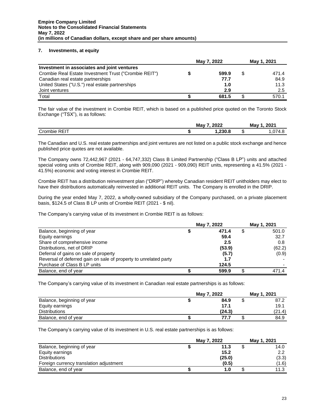#### **7. Investments, at equity**

|                                                       | May 7, 2022 |       | May 1, 2021 |
|-------------------------------------------------------|-------------|-------|-------------|
| Investment in associates and joint ventures           |             |       |             |
| Crombie Real Estate Investment Trust ("Crombie REIT") |             | 599.9 | 471.4       |
| Canadian real estate partnerships                     |             | 77.7  | 84.9        |
| United States ("U.S.") real estate partnerships       |             | 1.0   | 11.3        |
| Joint ventures                                        |             | 2.9   | 2.5         |
| Total                                                 |             | 681.5 | 570.1       |

The fair value of the investment in Crombie REIT, which is based on a published price quoted on the Toronto Stock Exchange ("TSX"), is as follows:

|                               | $M$ ay 7 | 2022  |   | May<br>2021 |
|-------------------------------|----------|-------|---|-------------|
| ∽<br>$  -$<br>Crombie<br>RELI |          | 230.ኢ | w | ᠇.֊         |

The Canadian and U.S. real estate partnerships and joint ventures are not listed on a public stock exchange and hence published price quotes are not available.

The Company owns 72,442,967 (2021 - 64,747,332) Class B Limited Partnership ("Class B LP") units and attached special voting units of Crombie REIT, along with 909,090 (2021 - 909,090) REIT units, representing a 41.5% (2021 - 41.5%) economic and voting interest in Crombie REIT.

Crombie REIT has a distribution reinvestment plan ("DRIP") whereby Canadian resident REIT unitholders may elect to have their distributions automatically reinvested in additional REIT units. The Company is enrolled in the DRIP.

During the year ended May 7, 2022, a wholly-owned subsidiary of the Company purchased, on a private placement basis, \$124.5 of Class B LP units of Crombie REIT (2021 - \$ nil).

The Company's carrying value of its investment in Crombie REIT is as follows:

|                                                                  | May 7, 2022 | May 1, 2021 |        |  |  |
|------------------------------------------------------------------|-------------|-------------|--------|--|--|
| Balance, beginning of year                                       | 471.4       |             | 501.0  |  |  |
| Equity earnings                                                  | 59.4        |             | 32.7   |  |  |
| Share of comprehensive income                                    | 2.5         |             | 0.8    |  |  |
| Distributions, net of DRIP                                       | (53.9)      |             | (62.2) |  |  |
| Deferral of gains on sale of property                            | (5.7)       |             | (0.9)  |  |  |
| Reversal of deferred gain on sale of property to unrelated party | 1.7         |             |        |  |  |
| Purchase of Class B LP units                                     | 124.5       |             |        |  |  |
| Balance, end of year                                             | 599.9       |             | 471.4  |  |  |

The Company's carrying value of its investment in Canadian real estate partnerships is as follows:

|                            | May 7, 2022 | May 1, 2021 |  |        |  |  |
|----------------------------|-------------|-------------|--|--------|--|--|
| Balance, beginning of year |             | 84.9        |  | 87.2   |  |  |
| Equity earnings            |             | 17.1        |  | 19.1   |  |  |
| <b>Distributions</b>       |             | (24.3)      |  | (21.4) |  |  |
| Balance, end of year       |             | 77.7        |  | 84.9   |  |  |

The Company's carrying value of its investment in U.S. real estate partnerships is as follows:

|                                         | May 7, 2022 | May 1, 2021 |       |
|-----------------------------------------|-------------|-------------|-------|
| Balance, beginning of year              |             | 11.3        | 14.0  |
| Equity earnings                         |             | 15.2        | 2.2   |
| <b>Distributions</b>                    |             | (25.0)      | (3.3) |
| Foreign currency translation adjustment |             | (0.5)       | (1.6) |
| Balance, end of year                    |             | 1.0         | 11.3  |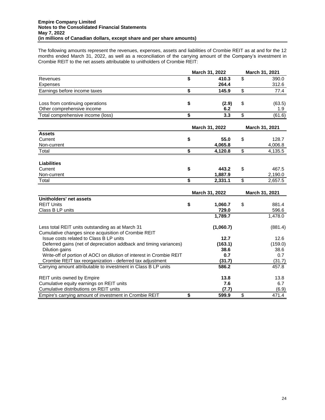The following amounts represent the revenues, expenses, assets and liabilities of Crombie REIT as at and for the 12 months ended March 31, 2022, as well as a reconciliation of the carrying amount of the Company's investment in Crombie REIT to the net assets attributable to unitholders of Crombie REIT:

|                                                                      | March 31, 2022 | March 31, 2021 |                |  |  |
|----------------------------------------------------------------------|----------------|----------------|----------------|--|--|
| Revenues                                                             | \$<br>410.3    | \$             | 390.0          |  |  |
| <b>Expenses</b>                                                      | 264.4          |                | 312.6          |  |  |
| Earnings before income taxes                                         | \$<br>145.9    | \$             | 77.4           |  |  |
| Loss from continuing operations                                      | \$<br>(2.9)    | \$             | (63.5)         |  |  |
| Other comprehensive income                                           | 6.2            |                | 1.9            |  |  |
| Total comprehensive income (loss)                                    | \$<br>3.3      | \$             | (61.6)         |  |  |
|                                                                      |                |                |                |  |  |
|                                                                      | March 31, 2022 |                | March 31, 2021 |  |  |
| <b>Assets</b>                                                        |                |                |                |  |  |
| Current                                                              | \$<br>55.0     | \$             | 128.7          |  |  |
| Non-current                                                          | 4,065.8        |                | 4,006.8        |  |  |
| Total                                                                | \$<br>4,120.8  | \$             | 4,135.5        |  |  |
|                                                                      |                |                |                |  |  |
| <b>Liabilities</b><br>Current                                        | \$<br>443.2    | \$             | 467.5          |  |  |
| Non-current                                                          | 1,887.9        |                | 2,190.0        |  |  |
| Total                                                                | \$<br>2,331.1  | \$             | 2,657.5        |  |  |
|                                                                      |                |                |                |  |  |
|                                                                      | March 31, 2022 |                | March 31, 2021 |  |  |
| <b>Unitholders' net assets</b>                                       |                |                |                |  |  |
| <b>REIT Units</b>                                                    | \$<br>1,060.7  | \$             | 881.4          |  |  |
| Class B LP units                                                     | 729.0          |                | 596.6          |  |  |
|                                                                      | 1,789.7        |                | 1,478.0        |  |  |
| Less total REIT units outstanding as at March 31                     | (1,060.7)      |                | (881.4)        |  |  |
| Cumulative changes since acquisition of Crombie REIT                 |                |                |                |  |  |
| Issue costs related to Class B LP units                              | 12.7           |                | 12.6           |  |  |
| Deferred gains (net of depreciation addback and timing variances)    | (163.1)        |                | (159.0)        |  |  |
| Dilution gains                                                       | 38.6           |                | 38.6           |  |  |
| Write-off of portion of AOCI on dilution of interest in Crombie REIT | 0.7            |                | 0.7            |  |  |
| Crombie REIT tax reorganization - deferred tax adjustment            | (31.7)         |                | (31.7)         |  |  |
| Carrying amount attributable to investment in Class B LP units       | 586.2          |                | 457.8          |  |  |
| <b>REIT units owned by Empire</b>                                    | 13.8           |                | 13.8           |  |  |
| Cumulative equity earnings on REIT units                             | 7.6            |                | 6.7            |  |  |
| Cumulative distributions on REIT units                               | (7.7)          |                | (6.9)          |  |  |
| Empire's carrying amount of investment in Crombie REIT               | \$<br>599.9    | \$             | 471.4          |  |  |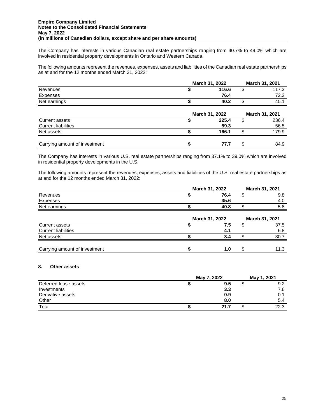The Company has interests in various Canadian real estate partnerships ranging from 40.7% to 49.0% which are involved in residential property developments in Ontario and Western Canada.

The following amounts represent the revenues, expenses, assets and liabilities of the Canadian real estate partnerships as at and for the 12 months ended March 31, 2022:

|                               | March 31, 2022 | March 31, 2021 |    |                |  |
|-------------------------------|----------------|----------------|----|----------------|--|
| Revenues                      |                | 116.6          | \$ | 117.3          |  |
| Expenses                      |                | 76.4           |    | 72.2           |  |
| Net earnings                  |                | 40.2           |    | 45.1           |  |
|                               |                | March 31, 2022 |    | March 31, 2021 |  |
| Current assets                |                | 225.4          | \$ | 236.4          |  |
| <b>Current liabilities</b>    |                | 59.3           |    | 56.5           |  |
| Net assets                    |                | 166.1          |    | 179.9          |  |
| Carrying amount of investment |                | 77.7           | S  | 84.9           |  |

The Company has interests in various U.S. real estate partnerships ranging from 37.1% to 39.0% which are involved in residential property developments in the U.S.

The following amounts represent the revenues, expenses, assets and liabilities of the U.S. real estate partnerships as at and for the 12 months ended March 31, 2022:

|                               | March 31, 2022 | March 31, 2021 |   |                |  |
|-------------------------------|----------------|----------------|---|----------------|--|
| Revenues                      |                | 76.4           | J | 9.8            |  |
| Expenses                      |                | 35.6           |   | 4.0            |  |
| Net earnings                  |                | 40.8           |   | 5.8            |  |
|                               |                | March 31, 2022 |   | March 31, 2021 |  |
| Current assets                |                | 7.5            |   | 37.5           |  |
| <b>Current liabilities</b>    |                | 4.1            |   | 6.8            |  |
| Net assets                    |                | 3.4            |   | 30.7           |  |
|                               |                |                |   |                |  |
| Carrying amount of investment |                | 1.0            |   | 11.3           |  |

#### **8. Other assets**

|                       | May 7, 2022 | May 1, 2021 |  |      |  |
|-----------------------|-------------|-------------|--|------|--|
| Deferred lease assets |             | 9.5         |  | 9.2  |  |
| Investments           |             | 3.3         |  | 7.6  |  |
| Derivative assets     |             | 0.9         |  |      |  |
| Other                 |             | 8.0         |  | 5.4  |  |
| Total                 |             | 21.7        |  | 22.3 |  |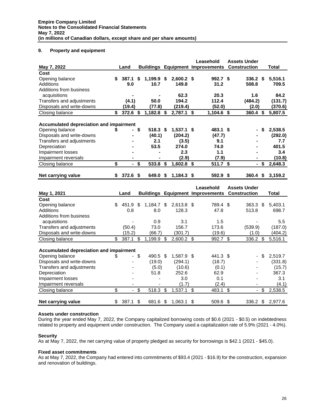### **9. Property and equipment**

|                                         |                      |      |              |      |              | Leasehold                                            |      | <b>Assets Under</b> |     |         |
|-----------------------------------------|----------------------|------|--------------|------|--------------|------------------------------------------------------|------|---------------------|-----|---------|
| May 7, 2022                             | Land                 |      |              |      |              | <b>Buildings Equipment Improvements Construction</b> |      |                     |     | Total   |
| Cost                                    |                      |      |              |      |              |                                                      |      |                     |     |         |
| Opening balance                         | \$<br>387.1 S        |      | $1,199.9$ \$ |      | $2,600.2$ \$ | 992.7 <sup>5</sup>                                   |      | 336.2 S             |     | 5,516.1 |
| Additions                               | 9.0                  |      | 10.7         |      | 149.8        | 31.2                                                 |      | 508.8               |     | 709.5   |
| Additions from business                 |                      |      |              |      |              |                                                      |      |                     |     |         |
| acquisitions                            |                      |      |              |      | 62.3         | 20.3                                                 |      | 1.6                 |     | 84.2    |
| Transfers and adjustments               | (4.1)                |      | 50.0         |      | 194.2        | 112.4                                                |      | (484.2)             |     | (131.7) |
| Disposals and write-downs               | (19.4)               |      | (77.8)       |      | (219.4)      | (52.0)                                               |      | (2.0)               |     | (370.6) |
| Closing balance                         | \$<br>372.6          | -\$  | 1,182.8      | - \$ | $2,787.1$ \$ | $1,104.6$ \$                                         |      | 360.4               | -\$ | 5,807.5 |
|                                         |                      |      |              |      |              |                                                      |      |                     |     |         |
| Accumulated depreciation and impairment |                      |      |              |      |              |                                                      |      |                     |     |         |
| Opening balance                         | \$                   | - \$ | $518.3$ \$   |      | $1,537.1$ \$ | 483.1 \$                                             |      |                     | -\$ | 2,538.5 |
| Disposals and write-downs               | ۰                    |      | (40.1)       |      | (204.2)      | (47.7)                                               |      | ۰                   |     | (292.0) |
| Transfers and adjustments               | ۰                    |      | 2.1          |      | (3.5)        | 9.1                                                  |      |                     |     | 7.7     |
| Depreciation                            | ۰                    |      | 53.5         |      | 274.0        | 74.0                                                 |      | ۰                   |     | 401.5   |
| Impairment losses                       | ۰                    |      |              |      | 2.3          | 1.1                                                  |      | ۰                   |     | 3.4     |
| Impairment reversals                    | ۰                    |      |              |      | (2.9)        | (7.9)                                                |      | ۰                   |     | (10.8)  |
| Closing balance                         | \$<br>$\blacksquare$ | S.   | 533.8        | \$   | $1.602.8$ \$ | 511.7 S                                              |      |                     | \$  | 2,648.3 |
| Net carrying value                      | \$<br>372.6 \$       |      | 649.0        | \$   | $1,184.3$ \$ | 592.9                                                | - \$ | 360.4               | \$  | 3,159.2 |

|                                         |                                |     |              |                    | Leasehold                               |    | <b>Assets Under</b>      |      |         |
|-----------------------------------------|--------------------------------|-----|--------------|--------------------|-----------------------------------------|----|--------------------------|------|---------|
| May 1, 2021                             | Land                           |     |              |                    | <b>Buildings Equipment Improvements</b> |    | <b>Construction</b>      |      | Total   |
| Cost                                    |                                |     |              |                    |                                         |    |                          |      |         |
| Opening balance                         | \$<br>451.9                    | \$  | $1,184.7$ \$ | 2,613.8 \$         | 789.4 \$                                |    | 363.3                    | - \$ | 5,403.1 |
| Additions                               | 0.8                            |     | 8.0          | 128.3              | 47.8                                    |    | 513.8                    |      | 698.7   |
| Additions from business                 |                                |     |              |                    |                                         |    |                          |      |         |
| acquisitions                            | ٠                              |     | 0.9          | 3.1                | 1.5                                     |    |                          |      | 5.5     |
| Transfers and adjustments               | (50.4)                         |     | 73.0         | 156.7              | 173.6                                   |    | (539.9)                  |      | (187.0) |
| Disposals and write-downs               | (15.2)                         |     | (66.7)       | (301.7)            | (19.6)                                  |    | (1.0)                    |      | (404.2) |
| Closing balance                         | \$<br>387.1                    | \$  | 1.199.9      | \$<br>$2,600.2$ \$ | 992.7                                   | \$ | 336.2                    | \$   | 5,516.1 |
|                                         |                                |     |              |                    |                                         |    |                          |      |         |
| Accumulated depreciation and impairment |                                |     |              |                    |                                         |    |                          |      |         |
| Opening balance                         | \$<br>-                        | -\$ | 490.5 \$     | $1.587.9$ \$       | 441.3 \$                                |    | $\overline{\phantom{a}}$ | \$   | 2.519.7 |
| Disposals and write-downs               | ۰                              |     | (19.0)       | (294.1)            | (18.7)                                  |    | $\overline{\phantom{0}}$ |      | (331.8) |
| Transfers and adjustments               | $\overline{a}$                 |     | (5.0)        | (10.6)             | (0.1)                                   |    |                          |      | (15.7)  |
| Depreciation                            | ۰                              |     | 51.8         | 252.6              | 62.9                                    |    | ٠                        |      | 367.3   |
| Impairment losses                       |                                |     |              | 3.0                | 0.1                                     |    |                          |      | 3.1     |
| Impairment reversals                    | $\blacksquare$                 |     |              | (1.7)              | (2.4)                                   |    | ۰                        |      | (4.1)   |
| Closing balance                         | \$<br>$\overline{\phantom{0}}$ | \$  | 518.3        | \$<br>1,537.1      | \$<br>483.1                             | \$ | $\overline{\phantom{a}}$ | \$   | 2,538.5 |
| Net carrying value                      | \$<br>387.1                    | \$  | 681.6        | \$<br>1,063.1      | \$<br>509.6                             | S  | 336.2                    | -\$  | 2,977.6 |

#### **Assets under construction**

During the year ended May 7, 2022, the Company capitalized borrowing costs of \$0.6 (2021 - \$0.5) on indebtedness related to property and equipment under construction. The Company used a capitalization rate of 5.9% (2021 - 4.0%).

#### **Security**

As at May 7, 2022, the net carrying value of property pledged as security for borrowings is \$42.1 (2021 - \$45.0).

#### **Fixed asset commitments**

As at May 7, 2022, the Company had entered into commitments of \$93.4 (2021 - \$16.9) for the construction, expansion and renovation of buildings.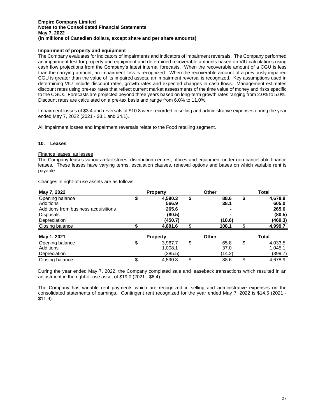#### **Impairment of property and equipment**

The Company evaluates for indicators of impairments and indicators of impairment reversals. The Company performed an impairment test for property and equipment and determined recoverable amounts based on VIU calculations using cash flow projections from the Company's latest internal forecasts. When the recoverable amount of a CGU is less than the carrying amount, an impairment loss is recognized. When the recoverable amount of a previously impaired CGU is greater than the value of its impaired assets, an impairment reversal is recognized. Key assumptions used in determining VIU include discount rates, growth rates and expected changes in cash flows. Management estimates discount rates using pre-tax rates that reflect current market assessments of the time value of money and risks specific to the CGUs. Forecasts are projected beyond three years based on long-term growth rates ranging from 2.0% to 5.0%. Discount rates are calculated on a pre-tax basis and range from 6.0% to 11.0%.

Impairment losses of \$3.4 and reversals of \$10.8 were recorded in selling and administrative expenses during the year ended May 7, 2022 (2021 - \$3.1 and \$4.1).

All impairment losses and impairment reversals relate to the Food retailing segment.

#### **10. Leases**

#### Finance leases, as lessee

The Company leases various retail stores, distribution centres, offices and equipment under non-cancellable finance leases. These leases have varying terms, escalation clauses, renewal options and bases on which variable rent is payable.

Changes in right-of-use assets are as follows:

| May 7, 2022                          | <b>Property</b> | <b>Other</b> | <b>Total</b> |              |  |
|--------------------------------------|-----------------|--------------|--------------|--------------|--|
| Opening balance                      | 4.590.3         | 88.6         |              | 4,678.9      |  |
| Additions                            | 566.9           | 38.1         |              | 605.0        |  |
| Additions from business acquisitions | 265.6           |              |              | 265.6        |  |
| <b>Disposals</b>                     | (80.5)          |              |              | (80.5)       |  |
| Depreciation                         | (450.7)         | (18.6)       |              | (469.3)      |  |
| <b>Closing balance</b>               | 4,891.6         | 108.1        |              | 4,999.7      |  |
| May 1, 2021                          | <b>Property</b> | <b>Other</b> |              | <b>Total</b> |  |
| Opening balance                      | \$<br>3.967.7   | \$<br>65.8   | \$           | 4,033.5      |  |
| Additions                            | 1,008.1         | 37.0         |              | 1,045.1      |  |
| Depreciation                         | (385.5)         | (14.2)       |              | (399.7)      |  |
| Closing balance                      | 4.590.3         | 88.6         |              | 4,678.9      |  |

During the year ended May 7, 2022, the Company completed sale and leaseback transactions which resulted in an adjustment in the right-of-use asset of \$19.0 (2021 - \$6.4).

The Company has variable rent payments which are recognized in selling and administrative expenses on the consolidated statements of earnings. Contingent rent recognized for the year ended May 7, 2022 is \$14.5 (2021 - \$11.9).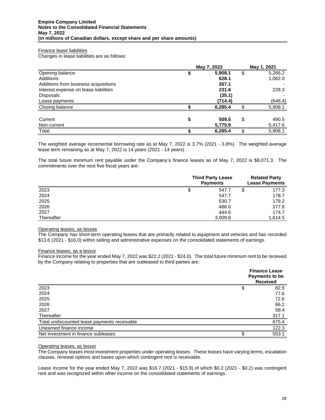#### Finance lease liabilities

Changes in lease liabilities are as follows:

|                                       | May 7, 2022 | May 1, 2021 |    |         |
|---------------------------------------|-------------|-------------|----|---------|
| Opening balance                       |             | 5,908.1     | \$ | 5,266.2 |
| Additions                             |             | 628.1       |    | 1,062.0 |
| Additions from business acquisitions  |             | 267.1       |    |         |
| Interest expense on lease liabilities |             | 231.6       |    | 228.3   |
| Disposals                             |             | (35.1)      |    |         |
| Lease payments                        |             | (714.4)     |    | (648.4) |
| Closing balance                       |             | 6,285.4     | c  | 5,908.1 |
|                                       |             |             |    |         |
| Current                               |             | 509.5       | \$ | 490.5   |
| Non-current                           |             | 5,775.9     |    | 5,417.6 |
| Total                                 |             | 6,285.4     | \$ | 5,908.1 |

The weighted average incremental borrowing rate as at May 7, 2022 is 3.7% (2021 - 3.8%). The weighted average lease term remaining as at May 7, 2022 is 14 years (2021 - 14 years).

The total future minimum rent payable under the Company's finance leases as of May 7, 2022 is \$8,071.3. The commitments over the next five fiscal years are:

|            | <b>Third Party Lease</b><br><b>Payments</b> | <b>Related Party</b><br><b>Lease Payments</b> |  |  |
|------------|---------------------------------------------|-----------------------------------------------|--|--|
| 2023       | 547.7<br>\$                                 | \$<br>177.3                                   |  |  |
| 2024       | 547.7                                       | 178.7                                         |  |  |
| 2025       | 530.7                                       | 179.2                                         |  |  |
| 2026       | 488.6                                       | 177.8                                         |  |  |
| 2027       | 444.6                                       | 174.7                                         |  |  |
| Thereafter | 3,009.8                                     | 1,614.5                                       |  |  |

#### Operating leases, as lessee

The Company has short-term operating leases that are primarily related to equipment and vehicles and has recorded \$13.6 (2021 - \$16.0) within selling and administrative expenses on the consolidated statements of earnings.

#### Finance leases, as a lessor

Finance income for the year ended May 7, 2022 was \$22.2 (2021 - \$24.0). The total future minimum rent to be received by the Company relating to properties that are subleased to third parties are:

|                                              | <b>Finance Lease</b><br><b>Payments to be</b><br><b>Received</b> |       |
|----------------------------------------------|------------------------------------------------------------------|-------|
| 2023                                         | S                                                                | 82.5  |
| 2024                                         |                                                                  | 77.6  |
| 2025                                         |                                                                  | 72.6  |
| 2026                                         |                                                                  | 66.2  |
| 2027                                         |                                                                  | 59.4  |
| Thereafter                                   |                                                                  | 317.1 |
| Total undiscounted lease payments receivable |                                                                  | 675.4 |
| Unearned finance income                      |                                                                  | 122.3 |
| Net investment in finance subleases          |                                                                  | 553.1 |

#### Operating leases, as lessor

The Company leases most investment properties under operating leases. These leases have varying terms, escalation clauses, renewal options and bases upon which contingent rent is receivable.

Lease income for the year ended May 7, 2022 was \$16.7 (2021 - \$15.9) of which \$0.2 (2021 - \$0.2) was contingent rent and was recognized within other income on the consolidated statements of earnings.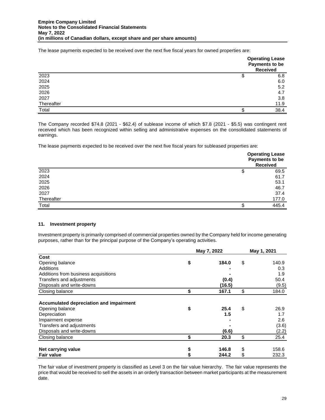The lease payments expected to be received over the next five fiscal years for owned properties are:

|            | <b>Operating Lease</b><br>Payments to be<br><b>Received</b> |      |
|------------|-------------------------------------------------------------|------|
| 2023       |                                                             | 6.8  |
| 2024       |                                                             | 6.0  |
| 2025       |                                                             | 5.2  |
| 2026       |                                                             | 4.7  |
| 2027       |                                                             | 3.8  |
| Thereafter |                                                             | 11.9 |
| Total      |                                                             | 38.4 |

The Company recorded \$74.8 (2021 - \$62.4) of sublease income of which \$7.8 (2021 - \$5.5) was contingent rent received which has been recognized within selling and administrative expenses on the consolidated statements of earnings.

The lease payments expected to be received over the next five fiscal years for subleased properties are:

|            | <b>Operating Lease</b><br>Payments to be<br><b>Received</b> |       |
|------------|-------------------------------------------------------------|-------|
| 2023       | Φ                                                           | 69.5  |
| 2024       |                                                             | 61.7  |
| 2025       |                                                             | 53.1  |
| 2026       |                                                             | 46.7  |
| 2027       |                                                             | 37.4  |
| Thereafter |                                                             | 177.0 |
| Total      |                                                             | 445.4 |

#### **11. Investment property**

Investment property is primarily comprised of commercial properties owned by the Company held for income generating purposes, rather than for the principal purpose of the Company's operating activities.

|                                         | May 7, 2022 | May 1, 2021 |    |       |
|-----------------------------------------|-------------|-------------|----|-------|
| Cost                                    |             |             |    |       |
| Opening balance                         | \$          | 184.0       | \$ | 140.9 |
| <b>Additions</b>                        |             |             |    | 0.3   |
| Additions from business acquisitions    |             |             |    | 1.9   |
| Transfers and adjustments               |             | (0.4)       |    | 50.4  |
| Disposals and write-downs               |             | (16.5)      |    | (9.5) |
| Closing balance                         | \$          | 167.1       | \$ | 184.0 |
| Accumulated depreciation and impairment |             |             |    |       |
| Opening balance                         | \$          | 25.4        | \$ | 26.9  |
| Depreciation                            |             | 1.5         |    | 1.7   |
| Impairment expense                      |             |             |    | 2.6   |
| Transfers and adjustments               |             |             |    | (3.6) |
| Disposals and write-downs               |             | (6.6)       |    | (2.2) |
| Closing balance                         | \$          | 20.3        | \$ | 25.4  |
| Net carrying value                      |             | 146.8       | \$ | 158.6 |
| <b>Fair value</b>                       |             | 244.2       | \$ | 232.3 |

The fair value of investment property is classified as Level 3 on the fair value hierarchy. The fair value represents the price that would be received to sell the assets in an orderly transaction between market participants at the measurement date.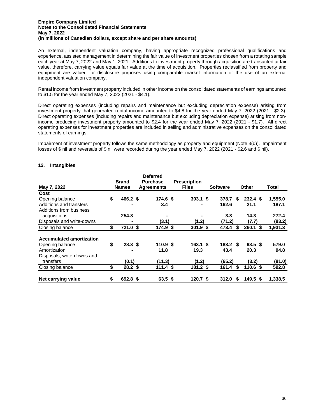#### **Empire Company Limited Notes to the Consolidated Financial Statements May 7, 2022 (in millions of Canadian dollars, except share and per share amounts)**

An external, independent valuation company, having appropriate recognized professional qualifications and experience, assisted management in determining the fair value of investment properties chosen from a rotating sample each year at May 7, 2022 and May 1, 2021. Additions to investment property through acquisition are transacted at fair value, therefore, carrying value equals fair value at the time of acquisition. Properties reclassified from property and equipment are valued for disclosure purposes using comparable market information or the use of an external independent valuation company.

Rental income from investment property included in other income on the consolidated statements of earnings amounted to \$1.5 for the year ended May 7, 2022 (2021 - \$4.1).

Direct operating expenses (including repairs and maintenance but excluding depreciation expense) arising from investment property that generated rental income amounted to \$4.8 for the year ended May 7, 2022 (2021 - \$2.3). Direct operating expenses (including repairs and maintenance but excluding depreciation expense) arising from nonincome producing investment property amounted to \$2.4 for the year ended May 7, 2022 (2021 - \$1.7). All direct operating expenses for investment properties are included in selling and administrative expenses on the consolidated statements of earnings.

Impairment of investment property follows the same methodology as property and equipment (Note 3(q)). Impairment losses of \$ nil and reversals of \$ nil were recorded during the year ended May 7, 2022 (2021 - \$2.6 and \$ nil).

#### **12. Intangibles**

|                                 |                         | <b>Deferred</b>    |                     |                 |    |                    |       |         |
|---------------------------------|-------------------------|--------------------|---------------------|-----------------|----|--------------------|-------|---------|
|                                 | <b>Brand</b>            | <b>Purchase</b>    | <b>Prescription</b> |                 |    |                    |       |         |
| May 7, 2022                     | <b>Names</b>            | <b>Agreements</b>  | <b>Files</b>        | <b>Software</b> |    | Other              | Total |         |
| Cost                            |                         |                    |                     |                 |    |                    |       |         |
| Opening balance                 | \$<br>$466.2$ \$        | 174.6 \$           | 303.1 S             | 378.7           | S  | 232.4 <sup>5</sup> |       | 1,555.0 |
| Additions and transfers         |                         | 3.4                |                     | 162.6           |    | 21.1               |       | 187.1   |
| Additions from business         |                         |                    |                     |                 |    |                    |       |         |
| acquisitions                    | 254.8                   | $\blacksquare$     |                     | 3.3             |    | 14.3               |       | 272.4   |
| Disposals and write-downs       | -                       | (3.1)              | (1.2)               | (71.2)          |    | (7.7)              |       | (83.2)  |
| Closing balance                 | \$<br>721.0 \$          | 174.9 \$           | 301.9 S             | 473.4           | \$ | 260.1 S            |       | 1,931.3 |
|                                 |                         |                    |                     |                 |    |                    |       |         |
| <b>Accumulated amortization</b> |                         |                    |                     |                 |    |                    |       |         |
| Opening balance                 | \$<br>28.3 <sup>5</sup> | 110.9 <sup>5</sup> | $163.1$ \$          | 183.2 S         |    | 93.5 <sup>5</sup>  |       | 579.0   |
| Amortization                    |                         | 11.8               | 19.3                | 43.4            |    | 20.3               |       | 94.8    |
| Disposals, write-downs and      |                         |                    |                     |                 |    |                    |       |         |
| transfers                       | (0.1)                   | (11.3)             | (1.2)               | (65.2)          |    | (3.2)              |       | (81.0)  |
| Closing balance                 | \$<br>$28.2$ \$         | $111.4$ \$         | $181.2$ \$          | 161.4           | -S | $110.6$ \$         |       | 592.8   |
|                                 |                         |                    |                     |                 |    |                    |       |         |
| Net carrying value              | \$<br>692.8 \$          | 63.5 <sup>5</sup>  | 120.7 <sup>5</sup>  | 312.0 S         |    | 149.5 \$           |       | 1,338.5 |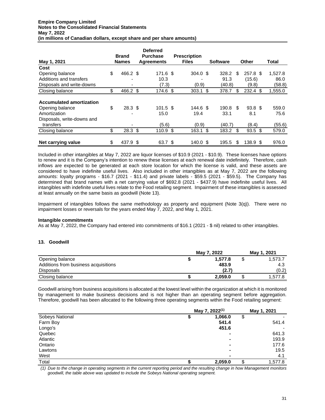#### **Empire Company Limited Notes to the Consolidated Financial Statements May 7, 2022 (in millions of Canadian dollars, except share and per share amounts)**

|                                         | <b>Brand</b>            | <b>Deferred</b><br><b>Purchase</b> | <b>Prescription</b> |                 |        |    |                   |              |
|-----------------------------------------|-------------------------|------------------------------------|---------------------|-----------------|--------|----|-------------------|--------------|
| May 1, 2021                             | <b>Names</b>            | <b>Agreements</b>                  | <b>Files</b>        | <b>Software</b> |        |    | Other             | <b>Total</b> |
| Cost                                    |                         |                                    |                     |                 |        |    |                   |              |
| Opening balance                         | \$<br>466.2 \$          | 171.6 \$                           | $304.0$ \$          |                 | 328.2  | -S | 257.8 \$          | 1,527.8      |
| Additions and transfers                 |                         | 10.3                               |                     |                 | 91.3   |    | (15.6)            | 86.0         |
| Disposals and write-downs               | ۰                       | (7.3)                              | (0.9)               |                 | (40.8) |    | (9.8)             | (58.8)       |
| Closing balance                         | \$<br>466.2 \$          | 174.6 \$                           | $303.1 \text{ } $$  |                 | 378.7  | -S | $232.4$ \$        | 1,555.0      |
| <b>Accumulated amortization</b>         |                         |                                    |                     |                 |        |    |                   |              |
| Opening balance                         | \$<br>28.3 <sup>5</sup> | $101.5$ \$                         | 144.6 \$            |                 | 190.8  | -S | 93.8 <sup>°</sup> | 559.0        |
| Amortization                            |                         | 15.0                               | 19.4                |                 | 33.1   |    | 8.1               | 75.6         |
| Disposals, write-downs and<br>transfers | ۰                       | (5.6)                              | (0.9)               |                 | (40.7) |    | (8.4)             | (55.6)       |
| Closing balance                         | \$<br>28.3~\$           | $110.9$ \$                         | $163.1$ \$          |                 | 183.2  | -S | $93.5 \text{ } $$ | 579.0        |
| Net carrying value                      | \$<br>437.9 \$          | 63.7 \$                            | $140.0 \text{ }$ \$ |                 | 195.5  | S  | 138.9 \$          | 976.0        |

Included in other intangibles at May 7, 2022 are liquor licenses of \$10.9 (2021 - \$10.9). These licenses have options to renew and it is the Company's intention to renew these licenses at each renewal date indefinitely. Therefore, cash inflows are expected to be generated at each store location for which the license is valid, and these assets are considered to have indefinite useful lives. Also included in other intangibles as at May 7, 2022 are the following amounts: loyalty programs - \$16.7 (2021 - \$11.4) and private labels - \$59.5 (2021 - \$59.5). The Company has determined that brand names with a net carrying value of \$692.8 (2021 - \$437.9) have indefinite useful lives. All intangibles with indefinite useful lives relate to the Food retailing segment. Impairment of these intangibles is assessed at least annually on the same basis as goodwill (Note 13).

Impairment of intangibles follows the same methodology as property and equipment (Note 3(q)). There were no impairment losses or reversals for the years ended May 7, 2022, and May 1, 2021.

#### **Intangible commitments**

As at May 7, 2022, the Company had entered into commitments of \$16.1 (2021 - \$ nil) related to other intangibles.

#### **13. Goodwill**

|                                      | May 7, 2022 | May 1, 2021 |  |        |
|--------------------------------------|-------------|-------------|--|--------|
| Opening balance                      |             | 1.577.8     |  | .573.7 |
| Additions from business acquisitions |             | 483.9       |  | 4.3    |
| Disposals                            |             | (2.7)       |  | (0.2)  |
| Closing balance                      |             | 2.059.0     |  | .577.8 |

Goodwill arising from business acquisitions is allocated at the lowest level within the organization at which it is monitored by management to make business decisions and is not higher than an operating segment before aggregation. Therefore, goodwill has been allocated to the following three operating segments within the Food retailing segment:

|                 | May 7, 2022 <sup>(1)</sup> | May 1, 2021    |    |         |
|-----------------|----------------------------|----------------|----|---------|
| Sobeys National |                            | 1,066.0        | \$ |         |
| Farm Boy        |                            | 541.4          |    | 541.4   |
| Longo's         |                            | 451.6          |    |         |
| Quebec          |                            |                |    | 641.3   |
| Atlantic        |                            |                |    | 193.9   |
| Ontario         |                            | $\blacksquare$ |    | 177.6   |
| Lawtons         |                            |                |    | 19.5    |
| West            |                            | ۰              |    | 4.1     |
| Total           |                            | 2,059.0        | \$ | 1.577.8 |

(1) Due to the change in operating segments in the current reporting period and the resulting change in how Management monitors *goodwill, the table above was updated to include the Sobeys National operating segment.*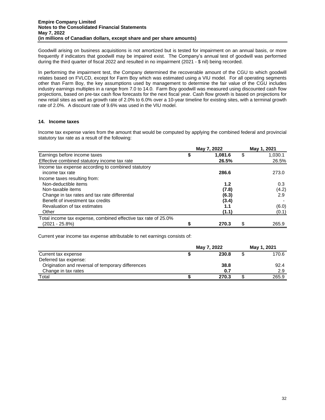Goodwill arising on business acquisitions is not amortized but is tested for impairment on an annual basis, or more frequently if indicators that goodwill may be impaired exist. The Company's annual test of goodwill was performed during the third quarter of fiscal 2022 and resulted in no impairment (2021 - \$ nil) being recorded.

In performing the impairment test, the Company determined the recoverable amount of the CGU to which goodwill relates based on FVLCD, except for Farm Boy which was estimated using a VIU model. For all operating segments other than Farm Boy, the key assumptions used by management to determine the fair value of the CGU includes industry earnings multiples in a range from 7.0 to 14.0. Farm Boy goodwill was measured using discounted cash flow projections, based on pre-tax cash flow forecasts for the next fiscal year. Cash flow growth is based on projections for new retail sites as well as growth rate of 2.0% to 6.0% over a 10-year timeline for existing sites, with a terminal growth rate of 2.0%. A discount rate of 9.6% was used in the VIU model.

#### **14. Income taxes**

Income tax expense varies from the amount that would be computed by applying the combined federal and provincial statutory tax rate as a result of the following:

|                                                                | May 7, 2022 | May 1, 2021 |         |  |
|----------------------------------------------------------------|-------------|-------------|---------|--|
| Earnings before income taxes                                   | 1.081.6     | \$          | 1,030.1 |  |
| Effective combined statutory income tax rate                   | 26.5%       |             | 26.5%   |  |
| Income tax expense according to combined statutory             |             |             |         |  |
| income tax rate                                                | 286.6       |             | 273.0   |  |
| Income taxes resulting from:                                   |             |             |         |  |
| Non-deductible items                                           | 1.2         |             | 0.3     |  |
| Non-taxable items                                              | (7.8)       |             | (4.2)   |  |
| Change in tax rates and tax rate differential                  | (6.3)       |             | 2.9     |  |
| Benefit of investment tax credits                              | (3.4)       |             |         |  |
| Revaluation of tax estimates                                   | 1.1         |             | (6.0)   |  |
| Other                                                          | (1.1)       |             | (0.1)   |  |
| Total income tax expense, combined effective tax rate of 25.0% |             |             |         |  |
| (2021 - 25.8%)                                                 | 270.3       |             | 265.9   |  |

Current year income tax expense attributable to net earnings consists of:

|                                                   | May 7, 2022 | May 1, 2021 |       |  |
|---------------------------------------------------|-------------|-------------|-------|--|
| Current tax expense                               | 230.8       |             | 170.6 |  |
| Deferred tax expense:                             |             |             |       |  |
| Origination and reversal of temporary differences | 38.8        |             | 92.4  |  |
| Change in tax rates                               | 0.7         |             | 2.9   |  |
| Total                                             | 270.3       |             | 265.9 |  |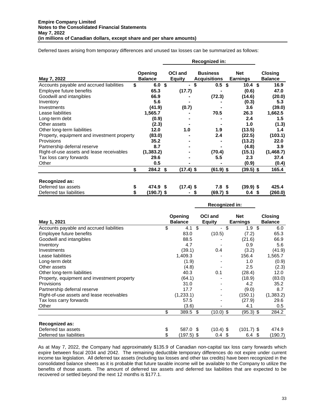Deferred taxes arising from temporary differences and unused tax losses can be summarized as follows:

|                                             |                           |    |                                 | Recognized in:                         |                        |                                  |
|---------------------------------------------|---------------------------|----|---------------------------------|----------------------------------------|------------------------|----------------------------------|
| May 7, 2022                                 | Opening<br><b>Balance</b> |    | <b>OCI</b> and<br><b>Equity</b> | <b>Business</b><br><b>Acquisitions</b> | Net<br><b>Earnings</b> | <b>Closing</b><br><b>Balance</b> |
| Accounts payable and accrued liabilities    | \$<br>6.0                 | \$ |                                 | \$<br>0.5 <sup>5</sup>                 | 10.4 <sup>5</sup>      | 16.9                             |
| Employee future benefits                    | 65.3                      |    | (17.7)                          |                                        | (0.6)                  | 47.0                             |
| Goodwill and intangibles                    | 66.9                      |    |                                 | (72.3)                                 | (14.6)                 | (20.0)                           |
| Inventory                                   | 5.6                       |    |                                 |                                        | (0.3)                  | 5.3                              |
| Investments                                 | (41.9)                    |    | (0.7)                           |                                        | 3.6                    | (39.0)                           |
| Lease liabilities                           | 1,565.7                   |    |                                 | 70.5                                   | 26.3                   | 1,662.5                          |
| Long-term debt                              | (0.9)                     |    |                                 |                                        | 2.4                    | $1.5\,$                          |
| Other assets                                | (2.3)                     |    |                                 |                                        | 1.0                    | (1.3)                            |
| Other long-term liabilities                 | 12.0                      |    | 1.0                             | 1.9                                    | (13.5)                 | 1.4                              |
| Property, equipment and investment property | (83.0)                    |    |                                 | 2.4                                    | (22.5)                 | (103.1)                          |
| <b>Provisions</b>                           | 35.2                      |    |                                 |                                        | (13.2)                 | 22.0                             |
| Partnership deferral reserve                | 8.7                       |    |                                 |                                        | (4.8)                  | 3.9                              |
| Right-of-use assets and lease receivables   | (1, 383.2)                |    |                                 | (70.4)                                 | (15.1)                 | (1,468.7)                        |
| Tax loss carry forwards                     | 29.6                      |    |                                 | 5.5                                    | 2.3                    | 37.4                             |
| Other                                       | 0.5                       |    |                                 |                                        | (0.9)                  | (0.4)                            |
|                                             | \$<br>284.2 \$            |    | $(17.4)$ \$                     | $(61.9)$ \$                            | $(39.5)$ \$            | 165.4                            |
| Recognized as:                              |                           |    |                                 |                                        |                        |                                  |
| Deferred tax assets                         | \$<br>474.9               | -S | $(17.4)$ \$                     | 7.8                                    | \$<br>$(39.9)$ \$      | 425.4                            |
| Deferred tax liabilities                    | $(190.7)$ \$              |    |                                 | (69.7) \$                              | 0.4 <sup>5</sup>       | (260.0)                          |

|                                             | <b>Opening</b> | <b>OCI</b> and                 | Net             | <b>Closing</b> |
|---------------------------------------------|----------------|--------------------------------|-----------------|----------------|
| May 1, 2021                                 | <b>Balance</b> | <b>Equity</b>                  | <b>Earnings</b> | <b>Balance</b> |
| Accounts payable and accrued liabilities    | \$<br>4.1      | \$<br>$\overline{\phantom{a}}$ | \$<br>1.9       | \$<br>6.0      |
| Employee future benefits                    | 83.0           | (10.5)                         | (7.2)           | 65.3           |
| Goodwill and intangibles                    | 88.5           |                                | (21.6)          | 66.9           |
| Inventory                                   | 4.7            |                                | 0.9             | 5.6            |
| Investments                                 | (39.1)         | 0.4                            | (3.2)           | (41.9)         |
| Lease liabilities                           | 1,409.3        |                                | 156.4           | 1,565.7        |
| Long-term debt                              | (1.9)          |                                | 1.0             | (0.9)          |
| Other assets                                | (4.8)          |                                | 2.5             | (2.3)          |
| Other long-term liabilities                 | 40.3           | 0.1                            | (28.4)          | 12.0           |
| Property, equipment and investment property | (64.1)         |                                | (18.9)          | (83.0)         |
| Provisions                                  | 31.0           |                                | 4.2             | 35.2           |
| Partnership deferral reserve                | 17.7           |                                | (9.0)           | 8.7            |
| Right-of-use assets and lease receivables   | (1,233.1)      |                                | (150.1)         | (1,383.2)      |
| Tax loss carry forwards                     | 57.5           |                                | (27.9)          | 29.6           |
| Other                                       | (3.6)          |                                | 4.1             | 0.5            |
|                                             | \$<br>389.5    | \$<br>(10.0) \$                | (95.3) \$       | 284.2          |
| Recognized as:                              |                |                                |                 |                |
| Deferred tax assets                         | \$<br>587.0 \$ | (10.4) \$                      | $(101.7)$ \$    | 474.9          |

**Recognized in:**

As at May 7, 2022, the Company had approximately \$135.9 of Canadian non-capital tax loss carry forwards which expire between fiscal 2034 and 2042. The remaining deductible temporary differences do not expire under current income tax legislation. All deferred tax assets (including tax losses and other tax credits) have been recognized in the consolidated balance sheets as it is probable that future taxable income will be available to the Company to utilize the benefits of those assets. The amount of deferred tax assets and deferred tax liabilities that are expected to be recovered or settled beyond the next 12 months is \$177.1.

Deferred tax liabilities **\$** (197.5) \$ 0.4 \$ 6.4 \$ (190.7)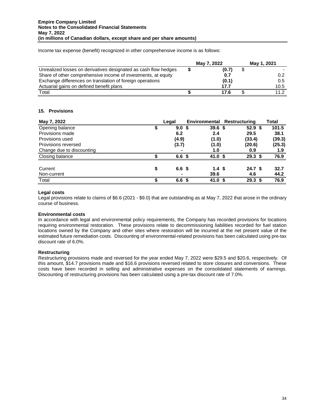Income tax expense (benefit) recognized in other comprehensive income is as follows:

|                                                                 | May 7, 2022 | May 1, 2021 |
|-----------------------------------------------------------------|-------------|-------------|
| Unrealized losses on derivatives designated as cash flow hedges | (0.7)       |             |
| Share of other comprehensive income of investments, at equity   | 0.7         | 0.2         |
| Exchange differences on translation of foreign operations       | (0.1)       | 0.5         |
| Actuarial gains on defined benefit plans                        | 17.7        | 10.5        |
| Total                                                           | 17.6        | 11.2        |

#### **15. Provisions**

| May 7, 2022               | Legal                    | <b>Environmental Restructuring</b> |                   | Total  |
|---------------------------|--------------------------|------------------------------------|-------------------|--------|
| Opening balance<br>Φ      | 9.0 <sup>5</sup>         | 39.6 <sup>5</sup>                  | 52.9 <sup>5</sup> | 101.5  |
| Provisions made           | 6.2                      | 2.4                                | 29.5              | 38.1   |
| Provisions used           | (4.9)                    | (1.0)                              | (33.4)            | (39.3) |
| Provisions reversed       | (3.7)                    | (1.0)                              | (20.6)            | (25.3) |
| Change due to discounting | $\overline{\phantom{0}}$ | 1.0                                | 0.9               | 1.9    |
| Closing balance           | 6.6 <sup>5</sup>         | $41.0 \text{ }$ \$                 | 29.3 <sup>5</sup> | 76.9   |
| \$<br>Current             | 6.6 <sup>5</sup>         | 1.4 $$$                            | 24.7 <sup>5</sup> | 32.7   |
| Non-current               |                          | 39.6                               | 4.6               | 44.2   |
| Total                     | 6.6 <sup>5</sup>         | 41.0 S                             | 29.3 <sup>5</sup> | 76.9   |

#### **Legal costs**

Legal provisions relate to claims of \$6.6 (2021 - \$9.0) that are outstanding as at May 7, 2022 that arose in the ordinary course of business.

#### **Environmental costs**

In accordance with legal and environmental policy requirements, the Company has recorded provisions for locations requiring environmental restoration. These provisions relate to decommissioning liabilities recorded for fuel station locations owned by the Company and other sites where restoration will be incurred at the net present value of the estimated future remediation costs. Discounting of environmental-related provisions has been calculated using pre-tax discount rate of 6.0%.

#### **Restructuring**

Restructuring provisions made and reversed for the year ended May 7, 2022 were \$29.5 and \$20.6, respectively. Of this amount, \$14.7 provisions made and \$16.6 provisions reversed related to store closures and conversions. These costs have been recorded in selling and administrative expenses on the consolidated statements of earnings. Discounting of restructuring provisions has been calculated using a pre-tax discount rate of 7.0%.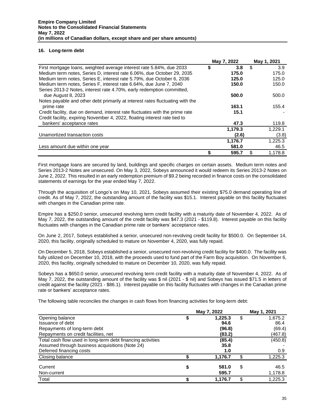#### **16. Long-term debt**

|                                                                               | May 7, 2022 |     | May 1, 2021 |
|-------------------------------------------------------------------------------|-------------|-----|-------------|
| First mortgage loans, weighted average interest rate 5.84%, due 2033          | \$<br>3.8   | \$  | 3.9         |
| Medium term notes, Series D, interest rate 6.06%, due October 29, 2035        | 175.0       |     | 175.0       |
| Medium term notes, Series E, interest rate 5.79%, due October 6, 2036         | 125.0       |     | 125.0       |
| Medium term notes, Series F, interest rate 6.64%, due June 7, 2040            | 150.0       |     | 150.0       |
| Series 2013-2 Notes, interest rate 4.70%, early redemption committed.         |             |     |             |
| due August 8, 2023                                                            | 500.0       |     | 500.0       |
| Notes payable and other debt primarily at interest rates fluctuating with the |             |     |             |
| prime rate                                                                    | 163.1       |     | 155.4       |
| Credit facility, due on demand, interest rate fluctuates with the prime rate  | 15.1        |     |             |
| Credit facility, expiring November 4, 2022, floating interest rate tied to    |             |     |             |
| bankers' acceptance rates                                                     | 47.3        |     | 119.8       |
|                                                                               | 1.179.3     |     | 1.229.1     |
| Unamortized transaction costs                                                 | (2.6)       |     | (3.8)       |
|                                                                               | 1,176.7     |     | 1,225.3     |
| Less amount due within one year                                               | 581.0       |     | 46.5        |
|                                                                               | 595.7       | \$. | 1.178.8     |

First mortgage loans are secured by land, buildings and specific charges on certain assets. Medium term notes and Series 2013-2 Notes are unsecured. On May 3, 2022, Sobeys announced it would redeem its Series 2013-2 Notes on June 2, 2022. This resulted in an early redemption premium of \$9.2 being recorded in finance costs on the consolidated statements of earnings for the year ended May 7, 2022.

Through the acquisition of Longo's on May 10, 2021, Sobeys assumed their existing \$75.0 demand operating line of credit. As of May 7, 2022, the outstanding amount of the facility was \$15.1. Interest payable on this facility fluctuates with changes in the Canadian prime rate.

Empire has a \$250.0 senior, unsecured revolving term credit facility with a maturity date of November 4, 2022. As of May 7, 2022, the outstanding amount of the credit facility was \$47.3 (2021 - \$119.8). Interest payable on this facility fluctuates with changes in the Canadian prime rate or bankers' acceptance rates.

On June 2, 2017, Sobeys established a senior, unsecured non-revolving credit facility for \$500.0. On September 14, 2020, this facility, originally scheduled to mature on November 4, 2020, was fully repaid.

On December 5, 2018, Sobeys established a senior, unsecured non-revolving credit facility for \$400.0. The facility was fully utilized on December 10, 2018, with the proceeds used to fund part of the Farm Boy acquisition. On November 6, 2020, this facility, originally scheduled to mature on December 10, 2020, was fully repaid.

Sobeys has a \$650.0 senior, unsecured revolving term credit facility with a maturity date of November 4, 2022. As of May 7, 2022, the outstanding amount of the facility was \$ nil (2021 - \$ nil) and Sobeys has issued \$71.5 in letters of credit against the facility (2021 - \$86.1). Interest payable on this facility fluctuates with changes in the Canadian prime rate or bankers' acceptance rates.

The following table reconciles the changes in cash flows from financing activities for long-term debt:

|                                                             | May 7, 2022 | May 1, 2021 |
|-------------------------------------------------------------|-------------|-------------|
| Opening balance                                             | 1,225.3     | 1.675.2     |
| Issuance of debt                                            | 94.6        | 86.4        |
| Repayments of long-term debt                                | (96.8)      | (69.4)      |
| Repayments on credit facilities, net                        | (83.2)      | (467.8)     |
| Total cash flow used in long-term debt financing activities | (85.4)      | (450.8)     |
| Assumed through business acquisitions (Note 24)             | 35.8        |             |
| Deferred financing costs                                    | 1.0         | 0.9         |
| Closing balance                                             | 1,176.7     | 1,225.3     |
| Current                                                     | \$<br>581.0 | \$<br>46.5  |
| Non-current                                                 | 595.7       | 1,178.8     |
| Total                                                       | 1,176.7     | 1,225.3     |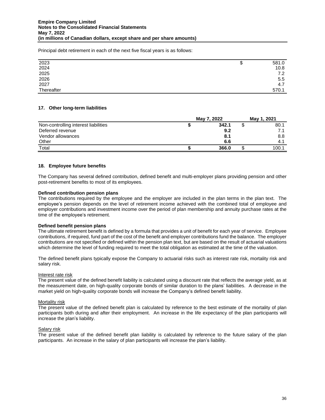Principal debt retirement in each of the next five fiscal years is as follows:

| 2023<br>2024 | J | 581.0 |
|--------------|---|-------|
|              |   | 10.8  |
| 2025         |   | 7.2   |
| 2026<br>2027 |   | 5.5   |
|              |   | 4.7   |
| Thereafter   |   | 570.1 |

#### **17. Other long-term liabilities**

|                                      | May 7, 2022 | May 1, 2021 |
|--------------------------------------|-------------|-------------|
| Non-controlling interest liabilities | 342.1       | 80.1        |
| Deferred revenue                     | 9.2         |             |
| Vendor allowances                    | 8.1         | 8.8         |
| Other                                | 6.6         | 4.1         |
| Total                                | 366.0       | 100.1       |

#### **18. Employee future benefits**

The Company has several defined contribution, defined benefit and multi-employer plans providing pension and other post-retirement benefits to most of its employees.

#### **Defined contribution pension plans**

The contributions required by the employee and the employer are included in the plan terms in the plan text. The employee's pension depends on the level of retirement income achieved with the combined total of employee and employer contributions and investment income over the period of plan membership and annuity purchase rates at the time of the employee's retirement.

#### **Defined benefit pension plans**

The ultimate retirement benefit is defined by a formula that provides a unit of benefit for each year of service. Employee contributions, if required, fund part of the cost of the benefit and employer contributions fund the balance. The employer contributions are not specified or defined within the pension plan text, but are based on the result of actuarial valuations which determine the level of funding required to meet the total obligation as estimated at the time of the valuation.

The defined benefit plans typically expose the Company to actuarial risks such as interest rate risk, mortality risk and salary risk.

#### Interest rate risk

The present value of the defined benefit liability is calculated using a discount rate that reflects the average yield, as at the measurement date, on high-quality corporate bonds of similar duration to the plans' liabilities. A decrease in the market yield on high-quality corporate bonds will increase the Company's defined benefit liability.

#### Mortality risk

The present value of the defined benefit plan is calculated by reference to the best estimate of the mortality of plan participants both during and after their employment. An increase in the life expectancy of the plan participants will increase the plan's liability.

#### Salary risk

The present value of the defined benefit plan liability is calculated by reference to the future salary of the plan participants. An increase in the salary of plan participants will increase the plan's liability.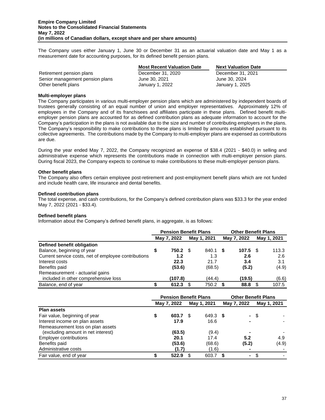The Company uses either January 1, June 30 or December 31 as an actuarial valuation date and May 1 as a measurement date for accounting purposes, for its defined benefit pension plans.

|                                 | <b>Most Recent Valuation Date</b> | <b>Next Valuation Date</b> |
|---------------------------------|-----------------------------------|----------------------------|
| Retirement pension plans        | December 31, 2020                 | December 31, 2021          |
| Senior management pension plans | June 30, 2021                     | June 30, 2024              |
| Other benefit plans             | January 1, 2022                   | January 1, 2025            |

#### **Multi-employer plans**

The Company participates in various multi-employer pension plans which are administered by independent boards of trustees generally consisting of an equal number of union and employer representatives. Approximately 12% of employees in the Company and of its franchisees and affiliates participate in these plans. Defined benefit multiemployer pension plans are accounted for as defined contribution plans as adequate information to account for the Company's participation in the plans is not available due to the size and number of contributing employers in the plans. The Company's responsibility to make contributions to these plans is limited by amounts established pursuant to its collective agreements. The contributions made by the Company to multi-employer plans are expensed as contributions are due.

During the year ended May 7, 2022, the Company recognized an expense of \$38.4 (2021 - \$40.0) in selling and administrative expense which represents the contributions made in connection with multi-employer pension plans. During fiscal 2023, the Company expects to continue to make contributions to these multi-employer pension plans.

#### **Other benefit plans**

The Company also offers certain employee post-retirement and post-employment benefit plans which are not funded and include health care, life insurance and dental benefits.

#### **Defined contribution plans**

The total expense, and cash contributions, for the Company's defined contribution plans was \$33.3 for the year ended May 7, 2022 (2021 - \$33.4).

#### **Defined benefit plans**

Information about the Company's defined benefit plans, in aggregate, is as follows:

|                                                      | <b>Pension Benefit Plans</b><br><b>Other Benefit Plans</b> |             |    |             |             |  |             |
|------------------------------------------------------|------------------------------------------------------------|-------------|----|-------------|-------------|--|-------------|
|                                                      |                                                            | May 7, 2022 |    | May 1, 2021 | May 7, 2022 |  | May 1, 2021 |
| Defined benefit obligation                           |                                                            |             |    |             |             |  |             |
| Balance, beginning of year                           |                                                            | 750.2       | -S | 840.1       | 107.5       |  | 113.3       |
| Current service costs, net of employee contributions |                                                            | 1.2         |    | 1.3         | 2.6         |  | 2.6         |
| Interest costs                                       |                                                            | 22.3        |    | 21.7        | 3.4         |  | 3.1         |
| Benefits paid                                        |                                                            | (53.6)      |    | (68.5)      | (5.2)       |  | (4.9)       |
| Remeasurement - actuarial gains                      |                                                            |             |    |             |             |  |             |
| included in other comprehensive loss                 |                                                            | (107.8)     |    | (44.4)      | (19.5)      |  | (6.6)       |
| Balance, end of year                                 |                                                            | 612.3       |    | 750.2       | 88.8        |  | 107.5       |

|                                    | <b>Pension Benefit Plans</b> |      |             |                | <b>Other Benefit Plans</b> |             |
|------------------------------------|------------------------------|------|-------------|----------------|----------------------------|-------------|
|                                    | May 7, 2022                  |      | May 1, 2021 | May 7, 2022    |                            | May 1, 2021 |
| <b>Plan assets</b>                 |                              |      |             |                |                            |             |
| Fair value, beginning of year      | 603.7                        | - \$ | 649.3 \$    | $\blacksquare$ | - \$                       |             |
| Interest income on plan assets     | 17.9                         |      | 16.6        | $\blacksquare$ |                            |             |
| Remeasurement loss on plan assets  |                              |      |             |                |                            |             |
| (excluding amount in net interest) | (63.5)                       |      | (9.4)       | $\blacksquare$ |                            |             |
| <b>Employer contributions</b>      | 20.1                         |      | 17.4        | 5.2            |                            | 4.9         |
| Benefits paid                      | (53.6)                       |      | (68.6)      | (5.2)          |                            | (4.9)       |
| Administrative costs               | (1.7)                        |      | (1.6)       |                |                            |             |
| Fair value, end of year            | 522.9                        |      | 603.7       | $\blacksquare$ |                            |             |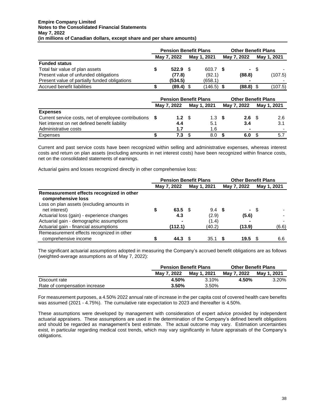| <b>Pension Benefit Plans</b> |         |             |                 |             |                          |             |                                                   |
|------------------------------|---------|-------------|-----------------|-------------|--------------------------|-------------|---------------------------------------------------|
|                              |         |             |                 |             |                          |             | May 1, 2021                                       |
|                              |         |             |                 |             |                          |             |                                                   |
|                              |         | - SS        |                 |             |                          |             |                                                   |
|                              | (77.8)  |             | (92.1)          |             | (88.8)                   |             | (107.5)                                           |
|                              | (534.5) |             | (658.1)         |             |                          |             |                                                   |
|                              |         |             |                 |             |                          |             | (107.5)                                           |
|                              |         | May 7, 2022 | 522.9<br>(89.4) | May 1, 2021 | 603.7 \$<br>$(146.5)$ \$ | May 7, 2022 | <b>Other Benefit Plans</b><br>- \$<br>$(88.8)$ \$ |

|                                                         | <b>Pension Benefit Plans</b> |                |  |             | <b>Other Benefit Plans</b> |                |      |             |
|---------------------------------------------------------|------------------------------|----------------|--|-------------|----------------------------|----------------|------|-------------|
|                                                         |                              | May 7, 2022    |  | May 1, 2021 |                            | May 7, 2022    |      | May 1, 2021 |
| <b>Expenses</b>                                         |                              |                |  |             |                            |                |      |             |
| Current service costs, net of employee contributions \$ |                              | 1.2 $\sqrt{3}$ |  | $1.3$ \$    |                            | 2.6            | - \$ | 2.6         |
| Net interest on net defined benefit liability           |                              | 4.4            |  | 5.1         |                            | 3.4            |      | 3.1         |
| Administrative costs                                    |                              | 1.7            |  | 1.6         |                            | $\blacksquare$ |      |             |
| Expenses                                                |                              | 7.3            |  | 8.0         |                            | 6.0            |      | 5.7         |

Current and past service costs have been recognized within selling and administrative expenses, whereas interest costs and return on plan assets (excluding amounts in net interest costs) have been recognized within finance costs, net on the consolidated statements of earnings.

Actuarial gains and losses recognized directly in other comprehensive loss:

|                                                                 | <b>Pension Benefit Plans</b> |             |      |             |      | <b>Other Benefit Plans</b> |      |             |
|-----------------------------------------------------------------|------------------------------|-------------|------|-------------|------|----------------------------|------|-------------|
|                                                                 |                              | May 7, 2022 |      | May 1, 2021 |      | May 7, 2022                |      | May 1, 2021 |
| Remeasurement effects recognized in other<br>comprehensive loss |                              |             |      |             |      |                            |      |             |
| Loss on plan assets (excluding amounts in<br>net interest)      |                              | 63.5        | - \$ | 9.4         | - 56 | ۰.                         | - \$ |             |
| Actuarial loss (gain) - experience changes                      |                              | 4.3         |      | (2.9)       |      | (5.6)                      |      |             |
| Actuarial gain - demographic assumptions                        |                              |             |      | (1.4)       |      |                            |      |             |
| Actuarial gain - financial assumptions                          |                              | (112.1)     |      | (40.2)      |      | (13.9)                     |      | (6.6)       |
| Remeasurement effects recognized in other                       |                              |             |      |             |      |                            |      |             |
| comprehensive income                                            |                              | 44.3        |      | 35.1        |      | 19.5                       |      | 6.6         |

The significant actuarial assumptions adopted in measuring the Company's accrued benefit obligations are as follows (weighted-average assumptions as of May 7, 2022):

|                               | <b>Pension Benefit Plans</b> |             | <b>Other Benefit Plans</b> |             |  |  |
|-------------------------------|------------------------------|-------------|----------------------------|-------------|--|--|
|                               | May 7, 2022                  | May 1, 2021 | Mav 7. 2022                | Mav 1. 2021 |  |  |
| Discount rate                 | 4.50%                        | 3.10%       | 4.50%                      | 3.20%       |  |  |
| Rate of compensation increase | $3.50\%$                     | 3.50%       |                            |             |  |  |

For measurement purposes, a 4.50% 2022 annual rate of increase in the per capita cost of covered health care benefits was assumed (2021 - 4.75%). The cumulative rate expectation to 2023 and thereafter is 4.50%.

These assumptions were developed by management with consideration of expert advice provided by independent actuarial appraisers. These assumptions are used in the determination of the Company's defined benefit obligations and should be regarded as management's best estimate. The actual outcome may vary. Estimation uncertainties exist, in particular regarding medical cost trends, which may vary significantly in future appraisals of the Company's obligations.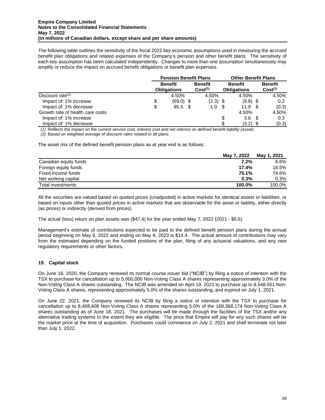The following table outlines the sensitivity of the fiscal 2022 key economic assumptions used in measuring the accrued benefit plan obligations and related expenses of the Company's pension and other benefit plans. The sensitivity of each key assumption has been calculated independently. Changes to more than one assumption simultaneously may amplify or reduce the impact on accrued benefit obligations or benefit plan expenses.

|                                  |                                                                               | <b>Pension Benefit Plans</b> |      |                                      |      | <b>Other Benefit Plans</b>            |      |       |  |
|----------------------------------|-------------------------------------------------------------------------------|------------------------------|------|--------------------------------------|------|---------------------------------------|------|-------|--|
|                                  | <b>Benefit</b><br><b>Benefit</b><br>Cost <sup>(1)</sup><br><b>Obligations</b> |                              |      | <b>Benefit</b><br><b>Obligations</b> |      | <b>Benefit</b><br>Cost <sup>(1)</sup> |      |       |  |
| Discount rate $(2)$              |                                                                               | 4.50%                        |      | 4.50%                                |      | 4.50%                                 |      | 4.50% |  |
| Impact of: 1% increase           | \$                                                                            | (69.0)                       | - \$ | $(2.3)$ \$                           |      | $(9.8)$ \$                            |      | 0.2   |  |
| Impact of: 1% decrease           |                                                                               | 85.5                         | - \$ | 1.0                                  | - \$ | 11.9                                  | - \$ | (0.3) |  |
| Growth rate of health care costs |                                                                               |                              |      |                                      |      | 4.50%                                 |      | 4.50% |  |
| Impact of: 1% increase           |                                                                               |                              |      |                                      | \$   | 3.6                                   | - \$ | 0.3   |  |
| Impact of: 1% decrease           |                                                                               |                              |      |                                      |      | (3.2)                                 | - \$ | (0.3) |  |

(1) Reflects the impact on the current service cost, interest cost and net interest on defined benefit liability (asset).

*(2) Based on weighted average of discount rates related to all plans.*

The asset mix of the defined benefit pension plans as at year end is as follows:

|                       | May 7, 2022 | May 1, 2021 |
|-----------------------|-------------|-------------|
| Canadian equity funds | 7.2%        | 6.6%        |
| Foreign equity funds  | 17.4%       | 18.5%       |
| Fixed income funds    | 75.1%       | 74.6%       |
| Net working capital   | 0.3%        | 0.3%        |
| Total investments     | 100.0%      | 100.0%      |

All the securities are valued based on quoted prices (unadjusted) in active markets for identical assets or liabilities, or based on inputs other than quoted prices in active markets that are observable for the asset or liability, either directly (as prices) or indirectly (derived from prices).

The actual (loss) return on plan assets was (\$47.4) for the year ended May 7, 2022 (2021 - \$5.6).

Management's estimate of contributions expected to be paid to the defined benefit pension plans during the annual period beginning on May 8, 2022 and ending on May 6, 2023 is \$14.4. The actual amount of contributions may vary from the estimated depending on the funded positions of the plan, filing of any actuarial valuations, and any new regulatory requirements or other factors.

#### **19. Capital stock**

On June 18, 2020, the Company renewed its normal course issuer bid ("NCIB") by filing a notice of intention with the TSX to purchase for cancellation up to 5,000,000 Non-Voting Class A shares representing approximately 3.0% of the Non-Voting Class A shares outstanding. The NCIB was amended on April 19, 2021 to purchase up to 8,548,551 Non-Voting Class A shares, representing approximately 5.0% of the shares outstanding, and expired on July 1, 2021.

On June 22, 2021, the Company renewed its NCIB by filing a notice of intention with the TSX to purchase for cancellation up to 8,468,408 Non-Voting Class A shares representing 5.0% of the 169,368,174 Non-Voting Class A shares outstanding as of June 18, 2021. The purchases will be made through the facilities of the TSX and/or any alternative trading systems to the extent they are eligible. The price that Empire will pay for any such shares will be the market price at the time of acquisition. Purchases could commence on July 2, 2021 and shall terminate not later than July 1, 2022.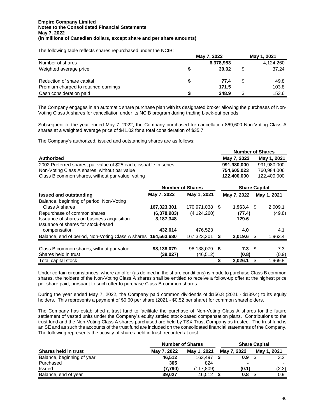The following table reflects shares repurchased under the NCIB:

|                                      | May 7, 2022 |           | May 1, 2021 |           |  |
|--------------------------------------|-------------|-----------|-------------|-----------|--|
| Number of shares                     |             | 6,378,983 |             | 4,124,260 |  |
| Weighted average price               |             | 39.02     |             | 37.24     |  |
|                                      |             |           |             |           |  |
| Reduction of share capital           |             | 77.4      | S           | 49.8      |  |
| Premium charged to retained earnings |             | 171.5     |             | 103.8     |  |
| Cash consideration paid              |             | 248.9     |             | 153.6     |  |

The Company engages in an automatic share purchase plan with its designated broker allowing the purchases of Non-Voting Class A shares for cancellation under its NCIB program during trading black-out periods.

Subsequent to the year ended May 7, 2022, the Company purchased for cancellation 869,600 Non-Voting Class A shares at a weighted average price of \$41.02 for a total consideration of \$35.7.

The Company's authorized, issued and outstanding shares are as follows:

|                                                                   | <b>Number of Shares</b> |             |  |  |  |
|-------------------------------------------------------------------|-------------------------|-------------|--|--|--|
| Authorized                                                        | Mav 7. 2022             | May 1, 2021 |  |  |  |
| 2002 Preferred shares, par value of \$25 each, issuable in series | 991.980.000             | 991.980.000 |  |  |  |
| Non-Voting Class A shares, without par value                      | 754.605.023             | 760.984.006 |  |  |  |
| Class B common shares, without par value, voting                  | 122,400,000             | 122.400.000 |  |  |  |

|                                                   | <b>Number of Shares</b> |                |   | <b>Share Capital</b> |      |             |
|---------------------------------------------------|-------------------------|----------------|---|----------------------|------|-------------|
| <b>Issued and outstanding</b>                     | May 7, 2022             | May 1, 2021    |   | May 7, 2022          |      | May 1, 2021 |
| Balance, beginning of period, Non-Voting          |                         |                |   |                      |      |             |
| Class A shares                                    | 167,323,301             | 170,971,038 \$ |   | 1.963.4              | - \$ | 2,009.1     |
| Repurchase of common shares                       | (6,378,983)             | (4, 124, 260)  |   | (77.4)               |      | (49.8)      |
| Issuance of shares on business acquisition        | 3,187,348               |                |   | 129.6                |      |             |
| Issuance of shares for stock-based                |                         |                |   |                      |      |             |
| compensation                                      | 432.014                 | 476.523        |   | 4.0                  |      | 4.1         |
| Balance, end of period, Non-Voting Class A shares | 164,563,680             | 167,323,301    | S | 2,019.6              |      | 1,963.4     |
|                                                   |                         |                |   |                      |      |             |
| Class B common shares, without par value          | 98,138,079              | 98,138,079 \$  |   | 7.3 <sup>5</sup>     |      | 7.3         |
| Shares held in trust                              | (39, 027)               | (46,512)       |   | (0.8)                |      | (0.9)       |
| Total capital stock                               |                         |                | S | 2.026.1              |      | 1,969.8     |

Under certain circumstances, where an offer (as defined in the share conditions) is made to purchase Class B common shares, the holders of the Non-Voting Class A shares shall be entitled to receive a follow-up offer at the highest price per share paid, pursuant to such offer to purchase Class B common shares.

During the year ended May 7, 2022, the Company paid common dividends of \$156.8 (2021 - \$139.4) to its equity holders. This represents a payment of \$0.60 per share (2021 - \$0.52 per share) for common shareholders.

The Company has established a trust fund to facilitate the purchase of Non-Voting Class A shares for the future settlement of vested units under the Company's equity settled stock-based compensation plans. Contributions to the trust fund and the Non-Voting Class A shares purchased are held by TSX Trust Company as trustee. The trust fund is an SE and as such the accounts of the trust fund are included on the consolidated financial statements of the Company. The following represents the activity of shares held in trust, recorded at cost:

|                             | <b>Number of Shares</b> |             |             | <b>Share Capital</b> |
|-----------------------------|-------------------------|-------------|-------------|----------------------|
| <b>Shares held in trust</b> | May 7, 2022             | May 1, 2021 | May 7, 2022 | May 1, 2021          |
| Balance, beginning of year  | 46.512                  | 163.497     | 0.9         | 3.2                  |
| Purchased                   | 305                     | 824         |             |                      |
| Issued                      | (7.790)                 | (117.809)   | (0.1)       | (2.3)                |
| Balance, end of year        | 39.027                  | 46.512      | 0.8         | 0.9                  |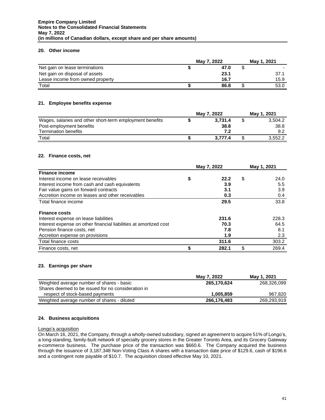#### **20. Other income**

|                                  | May 7, 2022 | May 1, 2021 |  |                          |
|----------------------------------|-------------|-------------|--|--------------------------|
| Net gain on lease terminations   |             | 47.0        |  | $\overline{\phantom{a}}$ |
| Net gain on disposal of assets   |             | 23.1        |  | 37.1                     |
| Lease income from owned property |             | 16.7        |  | 15.9                     |
| Total                            |             | 86.8        |  | 53.0                     |

#### **21. Employee benefits expense**

|                                                          | May 7, 2022 |         |  | May 1, 2021 |  |  |  |
|----------------------------------------------------------|-------------|---------|--|-------------|--|--|--|
| Wages, salaries and other short-term employment benefits |             | 3.731.4 |  | 3.504.2     |  |  |  |
| Post-employment benefits                                 |             | 38.8    |  | 38.8        |  |  |  |
| <b>Termination benefits</b>                              |             | 7.2     |  | 9.2         |  |  |  |
| Total                                                    |             | 3.777.4 |  | 3.552.2     |  |  |  |

#### **22. Finance costs, net**

|                                                                   | May 7, 2022 |       | May 1, 2021 |
|-------------------------------------------------------------------|-------------|-------|-------------|
| <b>Finance income</b>                                             |             |       |             |
| Interest income on lease receivables                              |             | 22.2  | \$<br>24.0  |
| Interest income from cash and cash equivalents                    |             | 3.9   | 5.5         |
| Fair value gains on forward contracts                             |             | 3.1   | 3.9         |
| Accretion income on leases and other receivables                  |             | 0.3   | 0.4         |
| Total finance income                                              |             | 29.5  | 33.8        |
| <b>Finance costs</b>                                              |             |       |             |
| Interest expense on lease liabilities                             |             | 231.6 | 228.3       |
| Interest expense on other financial liabilities at amortized cost |             | 70.3  | 64.5        |
| Pension finance costs, net                                        |             | 7.8   | 8.1         |
| Accretion expense on provisions                                   |             | 1.9   | 2.3         |
| Total finance costs                                               |             | 311.6 | 303.2       |
| Finance costs, net                                                |             | 282.1 | \$<br>269.4 |

#### **23. Earnings per share**

|                                                    | Mav 7. 2022 | May 1, 2021 |
|----------------------------------------------------|-------------|-------------|
| Weighted average number of shares - basic          | 265,170,624 | 268,326,099 |
| Shares deemed to be issued for no consideration in |             |             |
| respect of stock-based payments                    | 1.005.859   | 967.820     |
| Weighted average number of shares - diluted        | 266,176,483 | 269,293,919 |

#### **24. Business acquisitions**

#### Longo's acquisition

On March 16, 2021, the Company, through a wholly-owned subsidiary, signed an agreement to acquire 51% of Longo's, a long-standing, family-built network of specialty grocery stores in the Greater Toronto Area, and its Grocery Gateway e-commerce business. The purchase price of the transaction was \$660.6. The Company acquired the business through the issuance of 3,187,348 Non-Voting Class A shares with a transaction date price of \$129.6, cash of \$196.6 and a contingent note payable of \$10.7. The acquisition closed effective May 10, 2021.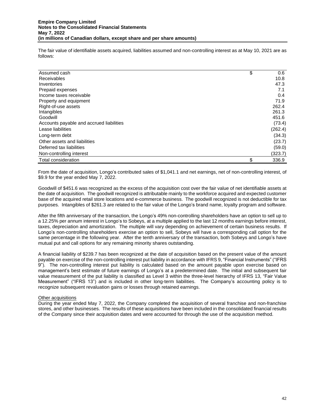The fair value of identifiable assets acquired, liabilities assumed and non-controlling interest as at May 10, 2021 are as follows:

| Assumed cash                             | \$<br>0.6   |
|------------------------------------------|-------------|
| Receivables                              | 10.8        |
| Inventories                              | 47.3        |
| Prepaid expenses                         | 7.1         |
| Income taxes receivable                  | 0.4         |
| Property and equipment                   | 71.9        |
| Right-of-use assets                      | 262.4       |
| Intangibles                              | 261.3       |
| Goodwill                                 | 451.6       |
| Accounts payable and accrued liabilities | (73.4)      |
| Lease liabilities                        | (262.4)     |
| Long-term debt                           | (34.3)      |
| Other assets and liabilities             | (23.7)      |
| Deferred tax liabilities                 | (59.0)      |
| Non-controlling interest                 | (323.7)     |
| Total consideration                      | \$<br>336.9 |

From the date of acquisition, Longo's contributed sales of \$1,041.1 and net earnings, net of non-controlling interest, of \$9.9 for the year ended May 7, 2022.

Goodwill of \$451.6 was recognized as the excess of the acquisition cost over the fair value of net identifiable assets at the date of acquisition. The goodwill recognized is attributable mainly to the workforce acquired and expected customer base of the acquired retail store locations and e-commerce business. The goodwill recognized is not deductible for tax purposes. Intangibles of \$261.3 are related to the fair value of the Longo's brand name, loyalty program and software.

After the fifth anniversary of the transaction, the Longo's 49% non-controlling shareholders have an option to sell up to a 12.25% per annum interest in Longo's to Sobeys, at a multiple applied to the last 12 months earnings before interest, taxes, depreciation and amortization. The multiple will vary depending on achievement of certain business results. If Longo's non-controlling shareholders exercise an option to sell, Sobeys will have a corresponding call option for the same percentage in the following year. After the tenth anniversary of the transaction, both Sobeys and Longo's have mutual put and call options for any remaining minority shares outstanding.

A financial liability of \$239.7 has been recognized at the date of acquisition based on the present value of the amount payable on exercise of the non-controlling interest put liability in accordance with IFRS 9, "Financial Instruments" ("IFRS 9"). The non-controlling interest put liability is calculated based on the amount payable upon exercise based on management's best estimate of future earnings of Longo's at a predetermined date. The initial and subsequent fair value measurement of the put liability is classified as Level 3 within the three-level hierarchy of IFRS 13, "Fair Value Measurement" ("IFRS 13") and is included in other long-term liabilities. The Company's accounting policy is to recognize subsequent revaluation gains or losses through retained earnings.

#### Other acquisitions

During the year ended May 7, 2022, the Company completed the acquisition of several franchise and non-franchise stores, and other businesses. The results of these acquisitions have been included in the consolidated financial results of the Company since their acquisition dates and were accounted for through the use of the acquisition method.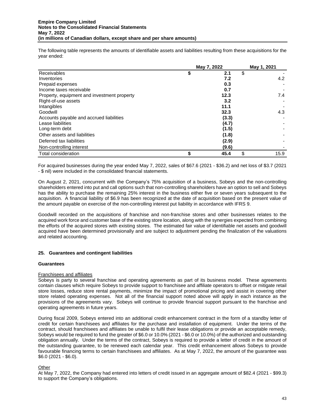The following table represents the amounts of identifiable assets and liabilities resulting from these acquisitions for the year ended:

|                                             | May 7, 2022 | May 1, 2021 |    |      |
|---------------------------------------------|-------------|-------------|----|------|
| <b>Receivables</b>                          |             | 2.1         | \$ |      |
| Inventories                                 |             | 7.2         |    | 4.2  |
| Prepaid expenses                            |             | 0.3         |    |      |
| Income taxes receivable                     |             | 0.7         |    |      |
| Property, equipment and investment property |             | 12.3        |    | 7.4  |
| Right-of-use assets                         |             | 3.2         |    |      |
| Intangibles                                 |             | 11.1        |    |      |
| Goodwill                                    |             | 32.3        |    | 4.3  |
| Accounts payable and accrued liabilities    |             | (3.3)       |    |      |
| Lease liabilities                           |             | (4.7)       |    |      |
| Long-term debt                              |             | (1.5)       |    |      |
| Other assets and liabilities                |             | (1.8)       |    |      |
| Deferred tax liabilities                    |             | (2.9)       |    |      |
| Non-controlling interest                    |             | (9.6)       |    |      |
| Total consideration                         |             | 45.4        | \$ | 15.9 |

For acquired businesses during the year ended May 7, 2022, sales of \$67.6 (2021 - \$36.2) and net loss of \$3.7 (2021 - \$ nil) were included in the consolidated financial statements.

On August 2, 2021, concurrent with the Company's 75% acquisition of a business, Sobeys and the non-controlling shareholders entered into put and call options such that non-controlling shareholders have an option to sell and Sobeys has the ability to purchase the remaining 25% interest in the business either five or seven years subsequent to the acquisition. A financial liability of \$6.9 has been recognized at the date of acquisition based on the present value of the amount payable on exercise of the non-controlling interest put liability in accordance with IFRS 9.

Goodwill recorded on the acquisitions of franchise and non-franchise stores and other businesses relates to the acquired work force and customer base of the existing store location, along with the synergies expected from combining the efforts of the acquired stores with existing stores. The estimated fair value of identifiable net assets and goodwill acquired have been determined provisionally and are subject to adjustment pending the finalization of the valuations and related accounting.

#### **25. Guarantees and contingent liabilities**

#### **Guarantees**

#### Franchisees and affiliates

Sobeys is party to several franchise and operating agreements as part of its business model. These agreements contain clauses which require Sobeys to provide support to franchisee and affiliate operators to offset or mitigate retail store losses, reduce store rental payments, minimize the impact of promotional pricing and assist in covering other store related operating expenses. Not all of the financial support noted above will apply in each instance as the provisions of the agreements vary. Sobeys will continue to provide financial support pursuant to the franchise and operating agreements in future years.

During fiscal 2009, Sobeys entered into an additional credit enhancement contract in the form of a standby letter of credit for certain franchisees and affiliates for the purchase and installation of equipment. Under the terms of the contract, should franchisees and affiliates be unable to fulfil their lease obligations or provide an acceptable remedy, Sobeys would be required to fund the greater of \$6.0 or 10.0% (2021 - \$6.0 or 10.0%) of the authorized and outstanding obligation annually. Under the terms of the contract, Sobeys is required to provide a letter of credit in the amount of the outstanding guarantee, to be renewed each calendar year. This credit enhancement allows Sobeys to provide favourable financing terms to certain franchisees and affiliates. As at May 7, 2022, the amount of the guarantee was \$6.0 (2021 - \$6.0).

#### **Other**

At May 7, 2022, the Company had entered into letters of credit issued in an aggregate amount of \$82.4 (2021 - \$99.3) to support the Company's obligations.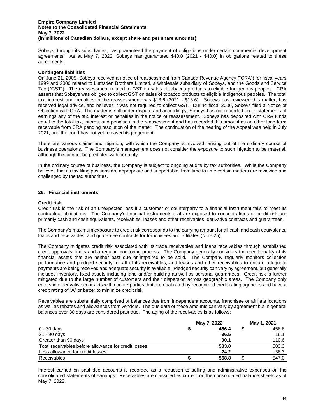Sobeys, through its subsidiaries, has guaranteed the payment of obligations under certain commercial development agreements. As at May 7, 2022, Sobeys has guaranteed \$40.0 (2021 - \$40.0) in obligations related to these agreements.

#### **Contingent liabilities**

On June 21, 2005, Sobeys received a notice of reassessment from Canada Revenue Agency ("CRA") for fiscal years 1999 and 2000 related to Lumsden Brothers Limited, a wholesale subsidiary of Sobeys, and the Goods and Service Tax ("GST"). The reassessment related to GST on sales of tobacco products to eligible Indigenous peoples. CRA asserts that Sobeys was obliged to collect GST on sales of tobacco products to eligible Indigenous peoples. The total tax, interest and penalties in the reassessment was \$13.6 (2021 - \$13.6). Sobeys has reviewed this matter, has received legal advice, and believes it was not required to collect GST. During fiscal 2006, Sobeys filed a Notice of Objection with CRA. The matter is still under dispute and accordingly, Sobeys has not recorded on its statements of earnings any of the tax, interest or penalties in the notice of reassessment. Sobeys has deposited with CRA funds equal to the total tax, interest and penalties in the reassessment and has recorded this amount as an other long-term receivable from CRA pending resolution of the matter. The continuation of the hearing of the Appeal was held in July 2021, and the court has not yet released its judgement.

There are various claims and litigation, with which the Company is involved, arising out of the ordinary course of business operations. The Company's management does not consider the exposure to such litigation to be material, although this cannot be predicted with certainty.

In the ordinary course of business, the Company is subject to ongoing audits by tax authorities. While the Company believes that its tax filing positions are appropriate and supportable, from time to time certain matters are reviewed and challenged by the tax authorities.

#### **26. Financial instruments**

#### **Credit risk**

Credit risk is the risk of an unexpected loss if a customer or counterparty to a financial instrument fails to meet its contractual obligations. The Company's financial instruments that are exposed to concentrations of credit risk are primarily cash and cash equivalents, receivables, leases and other receivables, derivative contracts and guarantees.

The Company's maximum exposure to credit risk corresponds to the carrying amount for all cash and cash equivalents, loans and receivables, and guarantee contracts for franchisees and affiliates (Note 25).

The Company mitigates credit risk associated with its trade receivables and loans receivables through established credit approvals, limits and a regular monitoring process. The Company generally considers the credit quality of its financial assets that are neither past due or impaired to be solid. The Company regularly monitors collection performance and pledged security for all of its receivables, and leases and other receivables to ensure adequate payments are being received and adequate security is available. Pledged security can vary by agreement, but generally includes inventory, fixed assets including land and/or building as well as personal guarantees. Credit risk is further mitigated due to the large number of customers and their dispersion across geographic areas. The Company only enters into derivative contracts with counterparties that are dual rated by recognized credit rating agencies and have a credit rating of "A" or better to minimize credit risk.

Receivables are substantially comprised of balances due from independent accounts, franchisee or affiliate locations as well as rebates and allowances from vendors. The due date of these amounts can vary by agreement but in general balances over 30 days are considered past due. The aging of the receivables is as follows:

|                                                      | May 7, 2022 |       |  | May 1, 2021 |
|------------------------------------------------------|-------------|-------|--|-------------|
| $0 - 30$ days                                        |             | 456.4 |  | 456.6       |
| 31 - 90 days                                         |             | 36.5  |  | 16.1        |
| Greater than 90 days                                 |             | 90.1  |  | 110.6       |
| Total receivables before allowance for credit losses |             | 583.0 |  | 583.3       |
| Less allowance for credit losses                     |             | 24.2  |  | 36.3        |
| Receivables                                          |             | 558.8 |  | 547.0       |

Interest earned on past due accounts is recorded as a reduction to selling and administrative expenses on the consolidated statements of earnings. Receivables are classified as current on the consolidated balance sheets as of May 7, 2022.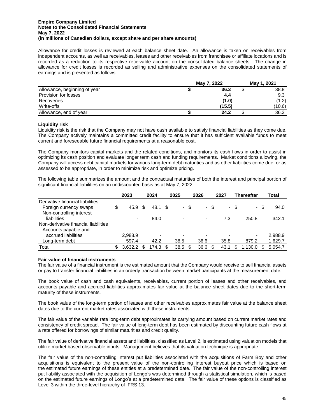#### **Empire Company Limited Notes to the Consolidated Financial Statements May 7, 2022 (in millions of Canadian dollars, except share and per share amounts)**

Allowance for credit losses is reviewed at each balance sheet date. An allowance is taken on receivables from independent accounts, as well as receivables, leases and other receivables from franchisee or affiliate locations and is recorded as a reduction to its respective receivable account on the consolidated balance sheets. The change in allowance for credit losses is recorded as selling and administrative expenses on the consolidated statements of earnings and is presented as follows:

|                              | May 7, 2022 | May 1, 2021 |  |        |
|------------------------------|-------------|-------------|--|--------|
| Allowance, beginning of year |             | 36.3        |  | 38.8   |
| Provision for losses         |             | 4.4         |  | 9.3    |
| Recoveries                   |             | (1.0)       |  | (1.2)  |
| Write-offs                   |             | (15.5)      |  | (10.6) |
| Allowance, end of year       |             | 24.2        |  | 36.3   |

#### **Liquidity risk**

Liquidity risk is the risk that the Company may not have cash available to satisfy financial liabilities as they come due. The Company actively maintains a committed credit facility to ensure that it has sufficient available funds to meet current and foreseeable future financial requirements at a reasonable cost.

The Company monitors capital markets and the related conditions, and monitors its cash flows in order to assist in optimizing its cash position and evaluate longer term cash and funding requirements. Market conditions allowing, the Company will access debt capital markets for various long-term debt maturities and as other liabilities come due, or as assessed to be appropriate, in order to minimize risk and optimize pricing.

The following table summarizes the amount and the contractual maturities of both the interest and principal portion of significant financial liabilities on an undiscounted basis as at May 7, 2022:

|                                      | 2023    |      | 2024    |      | 2025 |                          |      | 2026                     |      | 2027 |      | <b>Thereafter</b> |      | Total   |
|--------------------------------------|---------|------|---------|------|------|--------------------------|------|--------------------------|------|------|------|-------------------|------|---------|
| Derivative financial liabilities     |         |      |         |      |      |                          |      |                          |      |      |      |                   |      |         |
| Foreign currency swaps               | 45.9    | - \$ | 48.1 \$ |      |      |                          | - \$ |                          | - \$ |      | - \$ |                   | - \$ | 94.0    |
| Non-controlling interest             |         |      |         |      |      |                          |      |                          |      |      |      |                   |      |         |
| liabilities                          |         |      | 84.0    |      |      | $\overline{\phantom{a}}$ |      | $\overline{\phantom{a}}$ |      | 7.3  |      | 250.8             |      | 342.1   |
| Non-derivative financial liabilities |         |      |         |      |      |                          |      |                          |      |      |      |                   |      |         |
| Accounts payable and                 |         |      |         |      |      |                          |      |                          |      |      |      |                   |      |         |
| accrued liabilities                  | 2,988.9 |      |         |      |      | $\overline{\phantom{0}}$ |      | $\overline{\phantom{0}}$ |      | ٠    |      | ٠                 |      | 2,988.9 |
| Long-term debt                       | 597.4   |      | 42.2    |      | 38.5 |                          |      | 36.6                     |      | 35.8 |      | 879.2             |      | 1,629.7 |
| Total                                | 3.632.2 |      | 174.3   | - \$ | 38.5 |                          | \$.  | 36.6                     |      | 43.1 | £.   | 1.130.0           |      | 5.054.7 |

# **Fair value of financial instruments**

The fair value of a financial instrument is the estimated amount that the Company would receive to sell financial assets or pay to transfer financial liabilities in an orderly transaction between market participants at the measurement date.

The book value of cash and cash equivalents, receivables, current portion of leases and other receivables, and accounts payable and accrued liabilities approximates fair value at the balance sheet dates due to the short-term maturity of these instruments.

The book value of the long-term portion of leases and other receivables approximates fair value at the balance sheet dates due to the current market rates associated with these instruments.

The fair value of the variable rate long-term debt approximates its carrying amount based on current market rates and consistency of credit spread. The fair value of long-term debt has been estimated by discounting future cash flows at a rate offered for borrowings of similar maturities and credit quality.

The fair value of derivative financial assets and liabilities, classified as Level 2, is estimated using valuation models that utilize market based observable inputs. Management believes that its valuation technique is appropriate.

The fair value of the non-controlling interest put liabilities associated with the acquisitions of Farm Boy and other acquisitions is equivalent to the present value of the non-controlling interest buyout price which is based on the estimated future earnings of these entities at a predetermined date. The fair value of the non-controlling interest put liability associated with the acquisition of Longo's was determined through a statistical simulation, which is based on the estimated future earnings of Longo's at a predetermined date. The fair value of these options is classified as Level 3 within the three-level hierarchy of IFRS 13.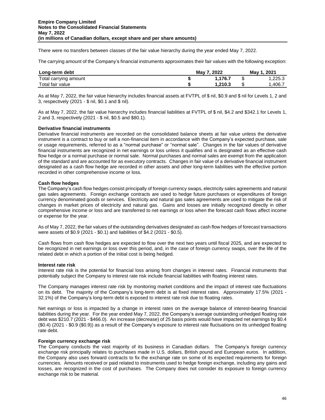There were no transfers between classes of the fair value hierarchy during the year ended May 7, 2022.

The carrying amount of the Company's financial instruments approximates their fair values with the following exception:

| Long-term debt        | May 7 | 2022    | 2021<br>May 1 |        |  |  |
|-----------------------|-------|---------|---------------|--------|--|--|
| Total carrying amount |       | 1.176.7 |               | .225.3 |  |  |
| Total fair value      |       | .210.3  |               | ,406.7 |  |  |

As at May 7, 2022, the fair value hierarchy includes financial assets at FVTPL of \$ nil, \$0.9 and \$ nil for Levels 1, 2 and 3, respectively (2021 - \$ nil, \$0.1 and \$ nil).

As at May 7, 2022, the fair value hierarchy includes financial liabilities at FVTPL of \$ nil, \$4.2 and \$342.1 for Levels 1, 2 and 3, respectively (2021 - \$ nil, \$0.5 and \$80.1).

#### **Derivative financial instruments**

Derivative financial instruments are recorded on the consolidated balance sheets at fair value unless the derivative instrument is a contract to buy or sell a non-financial item in accordance with the Company's expected purchase, sale or usage requirements, referred to as a "normal purchase" or "normal sale". Changes in the fair values of derivative financial instruments are recognized in net earnings or loss unless it qualifies and is designated as an effective cash flow hedge or a normal purchase or normal sale. Normal purchases and normal sales are exempt from the application of the standard and are accounted for as executory contracts. Changes in fair value of a derivative financial instrument designated as a cash flow hedge are recorded in other assets and other long-term liabilities with the effective portion recorded in other comprehensive income or loss.

#### **Cash flow hedges**

The Company's cash flow hedges consist principally of foreign currency swaps, electricity sales agreements and natural gas sales agreements. Foreign exchange contracts are used to hedge future purchases or expenditures of foreign currency denominated goods or services. Electricity and natural gas sales agreements are used to mitigate the risk of changes in market prices of electricity and natural gas. Gains and losses are initially recognized directly in other comprehensive income or loss and are transferred to net earnings or loss when the forecast cash flows affect income or expense for the year.

As of May 7, 2022, the fair values of the outstanding derivatives designated as cash flow hedges of forecast transactions were assets of \$0.9 (2021 - \$0.1) and liabilities of \$4.2 (2021 - \$0.5).

Cash flows from cash flow hedges are expected to flow over the next two years until fiscal 2025, and are expected to be recognized in net earnings or loss over this period, and, in the case of foreign currency swaps, over the life of the related debt in which a portion of the initial cost is being hedged.

#### **Interest rate risk**

Interest rate risk is the potential for financial loss arising from changes in interest rates. Financial instruments that potentially subject the Company to interest rate risk include financial liabilities with floating interest rates.

The Company manages interest rate risk by monitoring market conditions and the impact of interest rate fluctuations on its debt. The majority of the Company's long-term debt is at fixed interest rates. Approximately 17.5% (2021 - 32.1%) of the Company's long-term debt is exposed to interest rate risk due to floating rates.

Net earnings or loss is impacted by a change in interest rates on the average balance of interest-bearing financial liabilities during the year. For the year ended May 7, 2022, the Company's average outstanding unhedged floating rate debt was \$210.7 (2021 - \$466.0). An increase (decrease) of 25 basis points would have impacted net earnings by \$0.4 (\$0.4) (2021 - \$0.9 (\$0.9)) as a result of the Company's exposure to interest rate fluctuations on its unhedged floating rate debt.

#### **Foreign currency exchange risk**

The Company conducts the vast majority of its business in Canadian dollars. The Company's foreign currency exchange risk principally relates to purchases made in U.S. dollars, British pound and European euros. In addition, the Company also uses forward contracts to fix the exchange rate on some of its expected requirements for foreign currencies. Amounts received or paid related to instruments used to hedge foreign exchange, including any gains and losses, are recognized in the cost of purchases. The Company does not consider its exposure to foreign currency exchange risk to be material.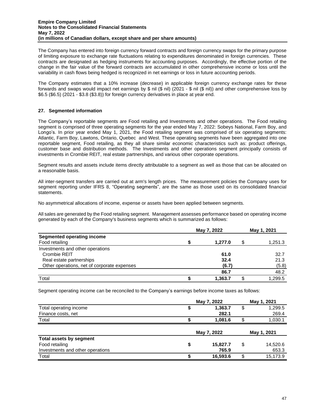#### **Empire Company Limited Notes to the Consolidated Financial Statements May 7, 2022 (in millions of Canadian dollars, except share and per share amounts)**

The Company has entered into foreign currency forward contracts and foreign currency swaps for the primary purpose of limiting exposure to exchange rate fluctuations relating to expenditures denominated in foreign currencies. These contracts are designated as hedging instruments for accounting purposes. Accordingly, the effective portion of the change in the fair value of the forward contracts are accumulated in other comprehensive income or loss until the variability in cash flows being hedged is recognized in net earnings or loss in future accounting periods.

The Company estimates that a 10% increase (decrease) in applicable foreign currency exchange rates for these forwards and swaps would impact net earnings by  $\frac{1}{2}$  nil ( $\frac{1}{2}$  nil ( $\frac{1}{2}$  nil) and other comprehensive loss by \$6.5 (\$6.5) (2021 - \$3.8 (\$3.8)) for foreign currency derivatives in place at year end.

# **27. Segmented information**

The Company's reportable segments are Food retailing and Investments and other operations. The Food retailing segment is comprised of three operating segments for the year ended May 7, 2022: Sobeys National, Farm Boy, and Longo's. In prior year ended May 1, 2021, the Food retailing segment was comprised of six operating segments: Atlantic, Farm Boy, Lawtons, Ontario, Quebec and West. These operating segments have been aggregated into one reportable segment, Food retailing, as they all share similar economic characteristics such as: product offerings, customer base and distribution methods. The Investments and other operations segment principally consists of investments in Crombie REIT, real estate partnerships, and various other corporate operations.

Segment results and assets include items directly attributable to a segment as well as those that can be allocated on a reasonable basis.

All inter-segment transfers are carried out at arm's length prices. The measurement policies the Company uses for segment reporting under IFRS 8, "Operating segments", are the same as those used on its consolidated financial statements.

No asymmetrical allocations of income, expense or assets have been applied between segments.

All sales are generated by the Food retailing segment. Management assesses performance based on operating income generated by each of the Company's business segments which is summarized as follows:

|                                             | May 7, 2022 |         |  | May 1, 2021 |  |  |
|---------------------------------------------|-------------|---------|--|-------------|--|--|
| Segmented operating income                  |             |         |  |             |  |  |
| Food retailing                              |             | 1.277.0 |  | 1,251.3     |  |  |
| Investments and other operations            |             |         |  |             |  |  |
| Crombie REIT                                |             | 61.0    |  | 32.7        |  |  |
| Real estate partnerships                    |             | 32.4    |  | 21.3        |  |  |
| Other operations, net of corporate expenses |             | (6.7)   |  | (5.8)       |  |  |
|                                             |             | 86.7    |  | 48.2        |  |  |
| Total                                       |             | 1.363.7 |  | 1.299.5     |  |  |

Segment operating income can be reconciled to the Company's earnings before income taxes as follows:

|                                  | May 7, 2022 |             |    | May 1, 2021 |
|----------------------------------|-------------|-------------|----|-------------|
| Total operating income           |             | 1,363.7     | S  | 1,299.5     |
| Finance costs, net               |             | 282.1       |    | 269.4       |
| Total                            |             | 1,081.6     |    | 1,030.1     |
|                                  |             | May 7, 2022 |    | May 1, 2021 |
| <b>Total assets by segment</b>   |             |             |    |             |
| Food retailing                   | S           | 15,827.7    | \$ | 14,520.6    |
| Investments and other operations |             | 765.9       |    | 653.3       |
| Total                            |             | 16,593.6    |    | 15,173.9    |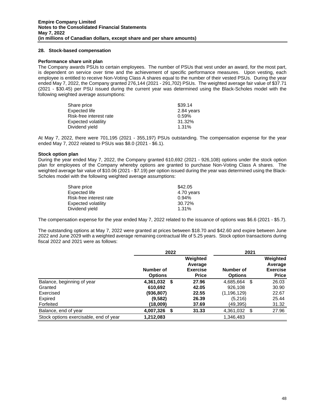#### **28. Stock-based compensation**

#### **Performance share unit plan**

The Company awards PSUs to certain employees. The number of PSUs that vest under an award, for the most part, is dependent on service over time and the achievement of specific performance measures. Upon vesting, each employee is entitled to receive Non-Voting Class A shares equal to the number of their vested PSUs. During the year ended May 7, 2022, the Company granted 276,144 (2021 - 291,702) PSUs. The weighted average fair value of \$37.71 (2021 - \$30.45) per PSU issued during the current year was determined using the Black-Scholes model with the following weighted average assumptions:

| \$39.14    |
|------------|
| 2.84 years |
| 0.59%      |
| 31.32%     |
| $1.31\%$   |
|            |

At May 7, 2022, there were 701,195 (2021 - 355,197) PSUs outstanding. The compensation expense for the year ended May 7, 2022 related to PSUs was \$8.0 (2021 - \$6.1).

#### **Stock option plan**

During the year ended May 7, 2022, the Company granted 610,692 (2021 - 926,108) options under the stock option plan for employees of the Company whereby options are granted to purchase Non-Voting Class A shares. The weighted average fair value of \$10.06 (2021 - \$7.19) per option issued during the year was determined using the Black-Scholes model with the following weighted average assumptions:

| Share price             | \$42.05    |
|-------------------------|------------|
| Expected life           | 4.70 years |
| Risk-free interest rate | $0.94\%$   |
| Expected volatility     | 30.72%     |
| Dividend yield          | $1.31\%$   |

The compensation expense for the year ended May 7, 2022 related to the issuance of options was \$6.6 (2021 - \$5.7).

The outstanding options at May 7, 2022 were granted at prices between \$18.70 and \$42.60 and expire between June 2022 and June 2029 with a weighted average remaining contractual life of 5.25 years. Stock option transactions during fiscal 2022 and 2021 were as follows:

|                                        | 2022                        |                                                        | 2021                        |                                                        |  |  |  |  |
|----------------------------------------|-----------------------------|--------------------------------------------------------|-----------------------------|--------------------------------------------------------|--|--|--|--|
|                                        | Number of<br><b>Options</b> | Weighted<br>Average<br><b>Exercise</b><br><b>Price</b> | Number of<br><b>Options</b> | Weighted<br>Average<br><b>Exercise</b><br><b>Price</b> |  |  |  |  |
| Balance, beginning of year             | 4,361,032 \$                | 27.96                                                  | 4,685,664<br>- \$           | 26.03                                                  |  |  |  |  |
| Granted                                | 610.692                     | 42.05                                                  | 926.108                     | 30.90                                                  |  |  |  |  |
| Exercised                              | (936, 807)                  | 22.55                                                  | (1, 196, 129)               | 22.67                                                  |  |  |  |  |
| <b>Expired</b>                         | (9, 582)                    | 26.39                                                  | (5,216)                     | 25.44                                                  |  |  |  |  |
| Forfeited                              | (18,009)                    | 37.69                                                  | (49,395)                    | 31.32                                                  |  |  |  |  |
| Balance, end of year                   | 4,007,326 \$                | 31.33                                                  | 4,361,032<br>- \$           | 27.96                                                  |  |  |  |  |
| Stock options exercisable, end of year | 1,212,083                   |                                                        | 1,346,483                   |                                                        |  |  |  |  |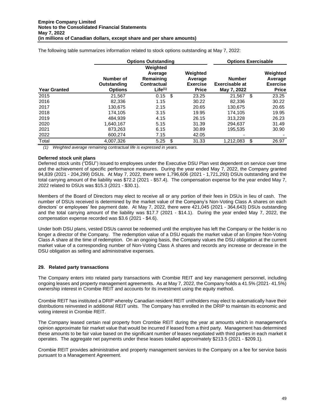|                     |                                            | <b>Options Outstanding</b>                                                    | <b>Options Exercisable</b>                             |                                                       |                                                        |  |  |
|---------------------|--------------------------------------------|-------------------------------------------------------------------------------|--------------------------------------------------------|-------------------------------------------------------|--------------------------------------------------------|--|--|
| <b>Year Granted</b> | Number of<br>Outstanding<br><b>Options</b> | Weighted<br>Average<br>Remaining<br><b>Contractual</b><br>Life <sup>(1)</sup> | Weighted<br>Average<br><b>Exercise</b><br><b>Price</b> | <b>Number</b><br><b>Exercisable at</b><br>May 7, 2022 | Weighted<br>Average<br><b>Exercise</b><br><b>Price</b> |  |  |
| 2015                | 21,567                                     | \$<br>0.15                                                                    | 23.25                                                  | 21.567                                                | \$<br>23.25                                            |  |  |
| 2016                | 82.336                                     | 1.15                                                                          | 30.22                                                  | 82.336                                                | 30.22                                                  |  |  |
| 2017                | 130.675                                    | 2.15                                                                          | 20.65                                                  | 130.675                                               | 20.65                                                  |  |  |
| 2018                | 174.105                                    | 3.15                                                                          | 19.95                                                  | 174.105                                               | 19.95                                                  |  |  |
| 2019                | 484.939                                    | 4.15                                                                          | 26.15                                                  | 313.228                                               | 26.23                                                  |  |  |
| 2020                | 1.640.167                                  | 5.15                                                                          | 31.39                                                  | 294.637                                               | 31.49                                                  |  |  |
| 2021                | 873,263                                    | 6.15                                                                          | 30.89                                                  | 195,535                                               | 30.90                                                  |  |  |
| 2022                | 600.274                                    | 7.15                                                                          | 42.05                                                  |                                                       |                                                        |  |  |
| Total               | 4,007,326                                  | \$<br>5.25                                                                    | 31.33                                                  | 1,212,083                                             | \$<br>26.97                                            |  |  |

The following table summarizes information related to stock options outstanding at May 7, 2022:

*(1) Weighted average remaining contractual life is expressed in years.*

#### **Deferred stock unit plans**

Deferred stock units ("DSU") issued to employees under the Executive DSU Plan vest dependent on service over time and the achievement of specific performance measures. During the year ended May 7, 2022, the Company granted 94,839 (2021 - 204,299) DSUs. At May 7, 2022, there were 1,796,606 (2021 - 1,721,293) DSUs outstanding and the total carrying amount of the liability was \$72.2 (2021 - \$57.4). The compensation expense for the year ended May 7, 2022 related to DSUs was \$15.3 (2021 - \$30.1).

Members of the Board of Directors may elect to receive all or any portion of their fees in DSUs in lieu of cash. The number of DSUs received is determined by the market value of the Company's Non-Voting Class A shares on each directors' or employees' fee payment date. At May 7, 2022, there were 421,045 (2021 - 364,643) DSUs outstanding and the total carrying amount of the liability was \$17.7 (2021 - \$14.1). During the year ended May 7, 2022, the compensation expense recorded was \$3.6 (2021 - \$4.6).

Under both DSU plans, vested DSUs cannot be redeemed until the employee has left the Company or the holder is no longer a director of the Company. The redemption value of a DSU equals the market value of an Empire Non-Voting Class A share at the time of redemption. On an ongoing basis, the Company values the DSU obligation at the current market value of a corresponding number of Non-Voting Class A shares and records any increase or decrease in the DSU obligation as selling and administrative expenses.

#### **29. Related party transactions**

The Company enters into related party transactions with Crombie REIT and key management personnel, including ongoing leases and property management agreements. As at May 7, 2022, the Company holds a 41.5% (2021- 41.5%) ownership interest in Crombie REIT and accounts for its investment using the equity method.

Crombie REIT has instituted a DRIP whereby Canadian resident REIT unitholders may elect to automatically have their distributions reinvested in additional REIT units. The Company has enrolled in the DRIP to maintain its economic and voting interest in Crombie REIT.

The Company leased certain real property from Crombie REIT during the year at amounts which in management's opinion approximate fair market value that would be incurred if leased from a third party. Management has determined these amounts to be fair value based on the significant number of leases negotiated with third parties in each market it operates. The aggregate net payments under these leases totalled approximately \$213.5 (2021 - \$209.1).

Crombie REIT provides administrative and property management services to the Company on a fee for service basis pursuant to a Management Agreement.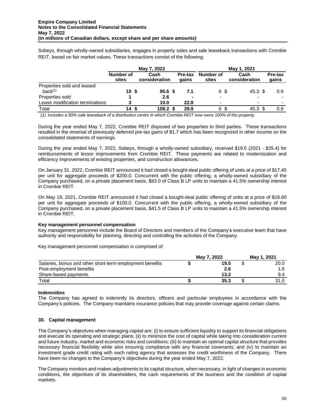Sobeys, through wholly-owned subsidiaries, engages in property sales and sale leaseback transactions with Crombie REIT, based on fair market values. These transactions consist of the following:

|                                 | May 7, 2022        |     |                       |  | May 1, 2021      |                          |  |                          |  |                          |
|---------------------------------|--------------------|-----|-----------------------|--|------------------|--------------------------|--|--------------------------|--|--------------------------|
|                                 | Number of<br>sites |     | Cash<br>consideration |  | Pre-tax<br>aains | Number of<br>sites       |  | Cash<br>consideration    |  | Pre-tax<br>gains         |
| Properties sold and leased      |                    |     |                       |  |                  |                          |  |                          |  |                          |
| back <sup>(1)</sup>             | 10 <sup>5</sup>    |     | 95.6 <sup>5</sup>     |  | 7.1              | 6 \$                     |  | $45.3 \text{ } $$        |  | 0.9                      |
| Properties sold                 |                    |     | 2.6                   |  | $\blacksquare$   | $\overline{\phantom{0}}$ |  | $\overline{\phantom{0}}$ |  |                          |
| Lease modification terminations |                    |     | 10.0                  |  | 22.8             | $\overline{\phantom{0}}$ |  | $\overline{\phantom{0}}$ |  | $\overline{\phantom{0}}$ |
| Total                           | 14                 | - S | 108.2 <sup>5</sup>    |  | 29.9             | 6                        |  | 45.3 <sup>5</sup>        |  | 0.9                      |

(1) Includes a 50% sale leaseback of a distribution centre in which Crombie REIT now owns 100% of the property.

During the year ended May 7, 2022, Crombie REIT disposed of two properties to third parties. These transactions resulted in the reversal of previously deferred pre-tax gains of \$1.7 which has been recognized in other income on the consolidated statements of earnings.

During the year ended May 7, 2022, Sobeys, through a wholly-owned subsidiary, received \$19.5 (2021 - \$25.4) for reimbursements of lessor improvements from Crombie REIT. These payments are related to modernization and efficiency improvements of existing properties, and construction allowances.

On January 31, 2022, Crombie REIT announced it had closed a bought-deal public offering of units at a price of \$17.45 per unit for aggregate proceeds of \$200.0. Concurrent with the public offering, a wholly-owned subsidiary of the Company purchased, on a private placement basis, \$83.0 of Class B LP units to maintain a 41.5% ownership interest in Crombie REIT.

On May 19, 2021, Crombie REIT announced it had closed a bought-deal public offering of units at a price of \$16.60 per unit for aggregate proceeds of \$100.0. Concurrent with the public offering, a wholly-owned subsidiary of the Company purchased, on a private placement basis, \$41.5 of Class B LP units to maintain a 41.5% ownership interest in Crombie REIT.

#### **Key management personnel compensation**

Key management personnel include the Board of Directors and members of the Company's executive team that have authority and responsibility for planning, directing and controlling the activities of the Company.

Key management personnel compensation is comprised of:

|                                                          | May 7, 2022 |      |  | May 1, 2021 |  |  |  |
|----------------------------------------------------------|-------------|------|--|-------------|--|--|--|
| Salaries, bonus and other short-term employment benefits |             | 19.5 |  | 20.0        |  |  |  |
| Post-employment benefits                                 |             | 2.6  |  |             |  |  |  |
| Share-based payments                                     |             | 13.2 |  | 9.4         |  |  |  |
| Total                                                    |             | 35.3 |  | 31.0        |  |  |  |

#### **Indemnities**

The Company has agreed to indemnify its directors, officers and particular employees in accordance with the Company's policies. The Company maintains insurance policies that may provide coverage against certain claims.

#### **30. Capital management**

The Company's objectives when managing capital are: (i) to ensure sufficient liquidity to support its financial obligations and execute its operating and strategic plans; (ii) to minimize the cost of capital while taking into consideration current and future industry, market and economic risks and conditions; (iii) to maintain an optimal capital structure that provides necessary financial flexibility while also ensuring compliance with any financial covenants; and (iv) to maintain an investment grade credit rating with each rating agency that assesses the credit worthiness of the Company. There have been no changes to the Company's objectives during the year ended May 7, 2022.

The Company monitors and makes adjustments to its capital structure, when necessary, in light of changes in economic conditions, the objectives of its shareholders, the cash requirements of the business and the condition of capital markets.